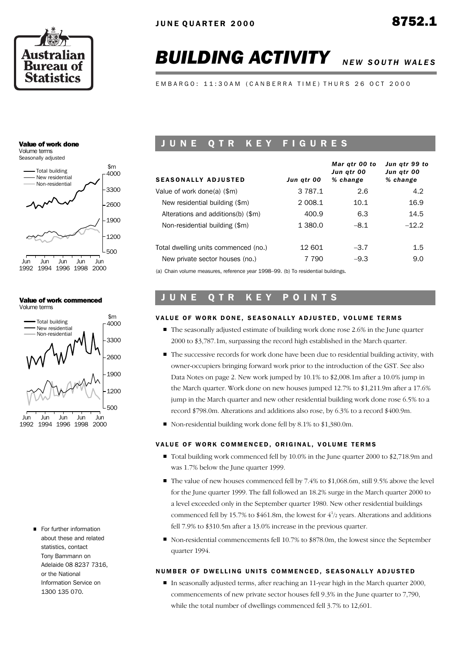

# **BUILDING ACTIVITY** NEW SOUTH WALES

E M B A R G O : 11:30 A M ( C A N B E R R A T I M E ) T H U R S 2 6 O C T 2000

#### Value of work done Volume terms

Seasonally adjusted



#### Value of work commenced Volume terms



**For further information** about these and related statistics, contact Tony Bammann on Adelaide 08 8237 7316, or the National Information Service on 1300 135 070.

# UNE QTR KEY FIGURES

| <b>SEASONALLY ADJUSTED</b>                                                    | Jun atr 00  | Mar gtr 00 to<br>Jun atr 00<br>% change | Jun atr 99 to<br>Jun atr 00<br>% change |
|-------------------------------------------------------------------------------|-------------|-----------------------------------------|-----------------------------------------|
| Value of work done(a) (\$m)                                                   | 3 7 8 7 . 1 | 2.6                                     | 4.2                                     |
| New residential building (\$m)                                                | 2 008.1     | 10.1                                    | 16.9                                    |
| Alterations and additions(b) (\$m)                                            | 400.9       | 6.3                                     | 14.5                                    |
| Non-residential building (\$m)                                                | 1 380.0     | $-8.1$                                  | $-12.2$                                 |
| Total dwelling units commenced (no.)                                          | 12 601      | $-3.7$                                  | $1.5\,$                                 |
| New private sector houses (no.)                                               | 7 7 9 0     | $-9.3$                                  | 9.0                                     |
| (a) Chain volume measures reference year 1998-99 (b) To residential huildings |             |                                         |                                         |

(a) Chain volume measures, reference year 1998–99. (b) To residential buildings.

# JUNE QTR KEY POINTS

## VALUE OF WORK DONE, SEASONALLY ADJUSTED, VOLUME TERMS

- $\blacksquare$  The seasonally adjusted estimate of building work done rose 2.6% in the June quarter 2000 to \$3,787.1m, surpassing the record high established in the March quarter.
- The successive records for work done have been due to residential building activity, with owner-occupiers bringing forward work prior to the introduction of the GST. See also Data Notes on page 2. New work jumped by 10.1% to \$2,008.1m after a 10.0% jump in the March quarter. Work done on new houses jumped 12.7% to \$1,211.9m after a 17.6% jump in the March quarter and new other residential building work done rose 6.5% to a record \$798.0m. Alterations and additions also rose, by 6.3% to a record \$400.9m.
- Non-residential building work done fell by 8.1% to \$1,380.0m.

# VALUE OF WORK COMMENCED, ORIGINAL, VOLUME TERMS

- Total building work commenced fell by 10.0% in the June quarter 2000 to \$2,718.9m and was 1.7% below the June quarter 1999.
- The value of new houses commenced fell by 7.4% to \$1,068.6m, still 9.5% above the level for the June quarter 1999. The fall followed an 18.2% surge in the March quarter 2000 to a level exceeded only in the September quarter 1980. New other residential buildings commenced fell by 15.7% to \$461.8m, the lowest for  $4\frac{1}{2}$  years. Alterations and additions fell 7.9% to \$310.5m after a 13.0% increase in the previous quarter.
- Non-residential commencements fell 10.7% to \$878.0m, the lowest since the September quarter 1994.

# NUMBER OF DWELLING UNITS COMMENCED, SEASONALLY ADJUSTED

In seasonally adjusted terms, after reaching an 11-year high in the March quarter 2000, commencements of new private sector houses fell 9.3% in the June quarter to 7,790, while the total number of dwellings commenced fell 3.7% to 12,601.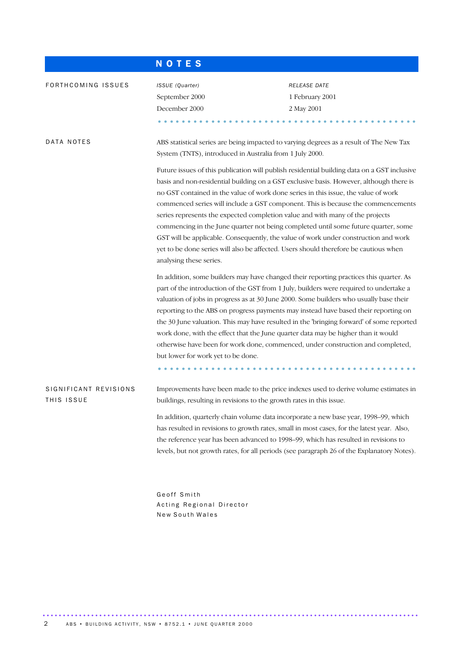|                                     | <b>NOTES</b>                                                                        |                                                                                                                                                                                                                                                                                                                                                                                                                                                                                                                                                                                                                                                                                                                                                                                                                   |
|-------------------------------------|-------------------------------------------------------------------------------------|-------------------------------------------------------------------------------------------------------------------------------------------------------------------------------------------------------------------------------------------------------------------------------------------------------------------------------------------------------------------------------------------------------------------------------------------------------------------------------------------------------------------------------------------------------------------------------------------------------------------------------------------------------------------------------------------------------------------------------------------------------------------------------------------------------------------|
| FORTHCOMING ISSUES                  | ISSUE (Quarter)<br>September 2000<br>December 2000                                  | RELEASE DATE<br>1 February 2001<br>2 May 2001                                                                                                                                                                                                                                                                                                                                                                                                                                                                                                                                                                                                                                                                                                                                                                     |
| DATA NOTES                          | System (TNTS), introduced in Australia from 1 July 2000.<br>analysing these series. | ABS statistical series are being impacted to varying degrees as a result of The New Tax<br>Future issues of this publication will publish residential building data on a GST inclusive<br>basis and non-residential building on a GST exclusive basis. However, although there is<br>no GST contained in the value of work done series in this issue, the value of work<br>commenced series will include a GST component. This is because the commencements<br>series represents the expected completion value and with many of the projects<br>commencing in the June quarter not being completed until some future quarter, some<br>GST will be applicable. Consequently, the value of work under construction and work<br>yet to be done series will also be affected. Users should therefore be cautious when |
|                                     | but lower for work yet to be done.                                                  | In addition, some builders may have changed their reporting practices this quarter. As<br>part of the introduction of the GST from 1 July, builders were required to undertake a<br>valuation of jobs in progress as at 30 June 2000. Some builders who usually base their<br>reporting to the ABS on progress payments may instead have based their reporting on<br>the 30 June valuation. This may have resulted in the 'bringing forward' of some reported<br>work done, with the effect that the June quarter data may be higher than it would<br>otherwise have been for work done, commenced, under construction and completed,                                                                                                                                                                             |
| SIGNIFICANT REVISIONS<br>THIS ISSUE | buildings, resulting in revisions to the growth rates in this issue.                | Improvements have been made to the price indexes used to derive volume estimates in<br>In addition, quarterly chain volume data incorporate a new base year, 1998–99, which<br>has resulted in revisions to growth rates, small in most cases, for the latest year. Also,<br>the reference year has been advanced to 1998-99, which has resulted in revisions to<br>levels, but not growth rates, for all periods (see paragraph 26 of the Explanatory Notes).                                                                                                                                                                                                                                                                                                                                                    |

Geoff Smith Acting Regional Director New South Wales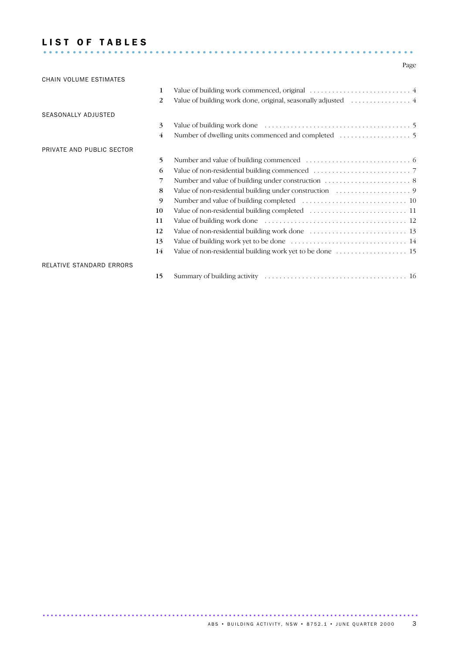# LIST OF TABLES ...............................................................

# Page

| CHAIN VOLUME ESTIMATES    |                |  |
|---------------------------|----------------|--|
|                           | 1              |  |
|                           | 2              |  |
| SEASONALLY ADJUSTED       |                |  |
|                           | 3              |  |
|                           | $\overline{4}$ |  |
| PRIVATE AND PUBLIC SECTOR |                |  |
|                           | 5              |  |
|                           | 6              |  |
|                           | 7              |  |
|                           | 8              |  |
|                           | 9              |  |
|                           | 10             |  |
|                           | 11             |  |
|                           | 12             |  |
|                           | 13             |  |
|                           | 14             |  |
| RELATIVE STANDARD ERRORS  |                |  |
|                           | 15             |  |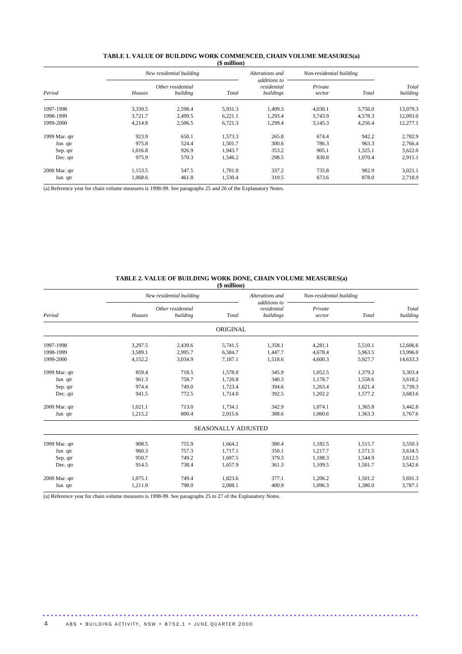| Period        |         | New residential building      |         | Alterations and                          | Non-residential building |         |                   |
|---------------|---------|-------------------------------|---------|------------------------------------------|--------------------------|---------|-------------------|
|               | Houses  | Other residential<br>building | Total   | additions to<br>residential<br>buildings | Private<br>sector        | Total   | Total<br>building |
| 1997-1998     | 3,339.5 | 2.598.4                       | 5,931.3 | 1,409.3                                  | 4,030.1                  | 5.756.0 | 13,079.3          |
| 1998-1999     | 3,721.7 | 2.499.5                       | 6,221.1 | 1,293.4                                  | 3,743.9                  | 4,578.3 | 12,093.0          |
| 1999-2000     | 4,214.8 | 2,506.5                       | 6,721.3 | 1,299.4                                  | 3,145.3                  | 4,256.4 | 12,277.1          |
| 1999 Mar. qtr | 923.9   | 650.1                         | 1,573.3 | 265.8                                    | 674.4                    | 942.2   | 2,782.9           |
| Jun qtr       | 975.8   | 524.4                         | 1,501.7 | 300.6                                    | 786.3                    | 963.3   | 2,766.4           |
| Sep. qtr      | 1.016.8 | 926.9                         | 1,943.7 | 353.2                                    | 905.1                    | 1,325.1 | 3,622.0           |
| Dec. qtr      | 975.9   | 570.3                         | 1.546.2 | 298.5                                    | 830.8                    | 1.070.4 | 2,915.1           |
| 2000 Mar. qtr | 1,153.5 | 547.5                         | 1,701.0 | 337.2                                    | 735.8                    | 982.9   | 3,021.1           |
| Jun qtr       | 1,068.6 | 461.8                         | 1,530.4 | 310.5                                    | 673.6                    | 878.0   | 2,718.9           |

#### **TABLE 1. VALUE OF BUILDING WORK COMMENCED, CHAIN VOLUME MEASURES(a) (\$ million)**

(a) Reference year for chain volume measures is 1998-99. See paragraphs 25 and 26 of the Explanatory Notes.

#### **TABLE 2. VALUE OF BUILDING WORK DONE, CHAIN VOLUME MEASURES(a)**

|               |                |                               | $$$ million $)$            |                                          |                          |         |                   |
|---------------|----------------|-------------------------------|----------------------------|------------------------------------------|--------------------------|---------|-------------------|
|               |                | New residential building      |                            | Alterations and                          | Non-residential building |         |                   |
| Period        | Houses         | Other residential<br>building |                            | additions to<br>residential<br>buildings | Private<br>sector        | Total   | Total<br>building |
|               |                |                               | ORIGINAL                   |                                          |                          |         |                   |
| 1997-1998     | 3,297.5        | 2,439.6                       | 5,741.5                    | 1,358.1                                  | 4,281.1                  | 5,510.1 | 12,606.6          |
| 1998-1999     | 3,589.1        | 2,995.7                       | 6,584.7                    | 1,447.7                                  | 4,678.4                  | 5,963.5 | 13,996.0          |
| 1999-2000     | 4,152.2        | 3,034.9                       | 7,187.1                    | 1,518.6                                  | 4,600.3                  | 5,927.7 | 14,633.3          |
| 1999 Mar. qtr | 859.4          | 718.5                         | 1,578.0                    | 345.9                                    | 1,052.5                  | 1,379.2 | 3,303.4           |
| Jun qtr       | 961.3          | 758.7                         | 1,720.8                    | 340.3                                    | 1,178.7                  | 1,558.6 | 3,618.2           |
| Sep. qtr      | 974.4<br>749.0 |                               | 1,723.4<br>394.6           |                                          | 1,263.4<br>1,621.4       |         | 3,739.3           |
| Dec. qtr      | 941.5          | 772.5                         | 1,714.0                    | 392.5                                    | 1,202.2                  | 1,577.2 | 3,683.6           |
| 2000 Mar. qtr | 1,021.1        | 713.0                         | 1,734.1                    | 342.9                                    | 1,074.1                  | 1,365.8 | 3,442.8           |
| Jun qtr       | 1,215.2        | 800.4                         | 2,015.6                    | 388.6                                    | 1,060.6                  | 1,363.3 | 3,767.6           |
|               |                |                               | <b>SEASONALLY ADJUSTED</b> |                                          |                          |         |                   |
| 1999 Mar. qtr | 908.5          | 755.9                         | 1,664.2                    | 380.4                                    | 1,182.5                  | 1,515.7 | 3,550.3           |
| Jun qtr       | 960.3          | 757.3                         | 1,717.1                    | 350.1                                    | 1,217.7                  | 1.571.5 | 3,634.5           |
| Sep. qtr      | 950.7          | 749.2                         | 1,697.5                    | 379.3                                    | 1,188.3                  | 1,544.9 | 3,612.5           |
| Dec. qtr      | 914.5          | 738.4                         | 1,657.9                    | 361.3                                    | 1,109.5                  | 1,501.7 | 3,542.6           |
| 2000 Mar. qtr | 1,075.1        | 749.4                         | 1,823.6                    | 377.1                                    | 1,206.2                  | 1,501.2 | 3,691.3           |
| Jun qtr       | 1,211.9        | 798.0                         | 2,008.1                    | 400.9                                    | 1,096.3                  | 1,380.0 | 3,787.1           |

.............................................................................................

(a) Reference year for chain volume measures is 1998-99. See paragraphs 25 to 27 of the Explanatory Notes.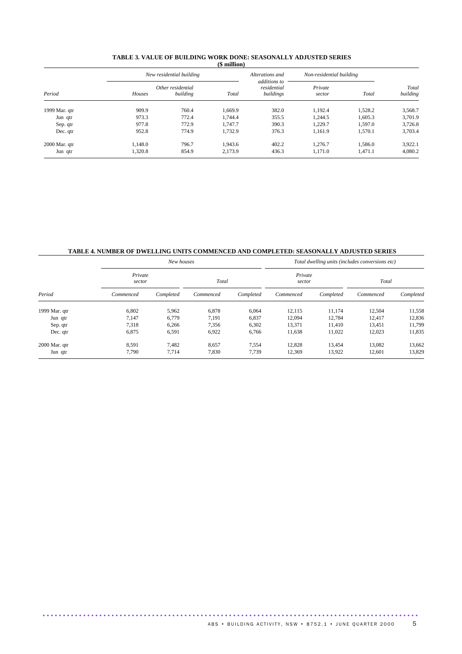|                 |         | New residential building      |         | Alterations and                          | Non-residential building |         |                   |
|-----------------|---------|-------------------------------|---------|------------------------------------------|--------------------------|---------|-------------------|
| Period          | Houses  | Other residential<br>building | Total   | additions to<br>residential<br>buildings | Private<br>sector        | Total   | Total<br>building |
| 1999 Mar. qtr   | 909.9   | 760.4                         | 1.669.9 | 382.0                                    | 1,192.4                  | 1,528.2 | 3,568.7           |
| Jun qtr         | 973.3   | 772.4                         | 1,744.4 | 355.5                                    | 1.244.5                  | 1.605.3 | 3,701.9           |
| Sep. qtr        | 977.8   | 772.9                         | 1.747.7 | 390.3                                    | 1,229.7                  | 1,597.0 | 3,726.8           |
| Dec. qtr        | 952.8   | 774.9                         | 1.732.9 | 376.3                                    | 1.161.9                  | 1.570.1 | 3,703.4           |
| $2000$ Mar. qtr | 1.148.0 | 796.7                         | 1,943.6 | 402.2                                    | 1.276.7                  | 1.586.0 | 3,922.1           |
| Jun qtr         | 1,320.8 | 854.9                         | 2,173.9 | 436.3                                    | 1,171.0                  | 1.471.1 | 4,080.2           |

#### **TABLE 3. VALUE OF BUILDING WORK DONE: SEASONALLY ADJUSTED SERIES (\$ million)**

# **TABLE 4. NUMBER OF DWELLING UNITS COMMENCED AND COMPLETED: SEASONALLY ADJUSTED SERIES**

| Period        |                   | New houses |           |           | Total dwelling units (includes conversions etc) |           |           |           |  |  |
|---------------|-------------------|------------|-----------|-----------|-------------------------------------------------|-----------|-----------|-----------|--|--|
|               | Private<br>sector |            | Total     |           | Private<br>sector                               |           | Total     |           |  |  |
|               | Commenced         | Completed  | Commenced | Completed | Commenced                                       | Completed | Commenced | Completed |  |  |
| 1999 Mar. qtr | 6,802             | 5,962      | 6,878     | 6.064     | 12,115                                          | 11,174    | 12,504    | 11,558    |  |  |
| Jun qtr       | 7,147             | 6,779      | 7,191     | 6,837     | 12,094                                          | 12,784    | 12,417    | 12,836    |  |  |
| Sep. qtr      | 7,318             | 6,266      | 7,356     | 6,302     | 13,371                                          | 11.410    | 13,451    | 11,799    |  |  |
| Dec. qtr      | 6,875             | 6,591      | 6,922     | 6,766     | 11,638                                          | 11,022    | 12,023    | 11,835    |  |  |
| 2000 Mar. qtr | 8,591             | 7.482      | 8,657     | 7,554     | 12.828                                          | 13,454    | 13,082    | 13,662    |  |  |
| Jun qtr       | 7,790             | 7,714      | 7,830     | 7,739     | 12,369                                          | 13,922    | 12,601    | 13,829    |  |  |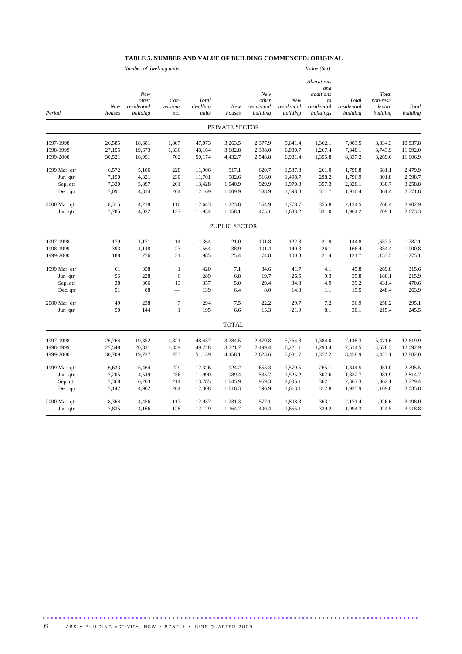| <b>TABLE 5. NUMBER AND VALUE OF BUILDING COMMENCED: ORIGINAL</b> |  |  |  |  |
|------------------------------------------------------------------|--|--|--|--|
|------------------------------------------------------------------|--|--|--|--|

|               |               | Number of dwelling units                |                          |                            | Value (\$m)          |                                         |                                |                                                                          |                                  |                                           |                   |
|---------------|---------------|-----------------------------------------|--------------------------|----------------------------|----------------------|-----------------------------------------|--------------------------------|--------------------------------------------------------------------------|----------------------------------|-------------------------------------------|-------------------|
| Period        | New<br>houses | New<br>other<br>residential<br>building | Con-<br>versions<br>etc. | Total<br>dwelling<br>units | New<br>houses        | New<br>other<br>residential<br>building | New<br>residential<br>building | <b>Alterations</b><br>and<br>additions<br>to<br>residential<br>buildings | Total<br>residential<br>building | Total<br>non-resi-<br>dential<br>building | Total<br>building |
|               |               |                                         |                          |                            | PRIVATE SECTOR       |                                         |                                |                                                                          |                                  |                                           |                   |
| 1997-1998     | 26,585        | 18,681                                  | 1,807                    | 47,073                     | 3,263.5              | 2,377.9                                 | 5,641.4                        | 1,362.1                                                                  | 7,003.5                          | 3,834.3                                   | 10,837.8          |
| 1998-1999     | 27,155        | 19,673                                  | 1,336                    | 48,164                     | 3,682.8              | 2,398.0                                 | 6,080.7                        | 1,267.4                                                                  | 7,348.1                          | 3,743.9                                   | 11,092.0          |
| 1999-2000     | 30,521        | 18,951                                  | 702                      | 50,174                     | 4,432.7              | 2,548.8                                 | 6,981.4                        | 1,355.8                                                                  | 8,337.2                          | 3,269.6                                   | 11,606.9          |
| 1999 Mar. qtr | 6,572         | 5,106                                   | 228                      | 11,906                     | 917.1                | 620.7                                   | 1,537.8                        | 261.0                                                                    | 1,798.8                          | 681.1                                     | 2,479.9           |
| Jun qtr       | 7,150         | 4,321                                   | 230                      | 11,701                     | 982.6                | 516.0                                   | 1,498.7                        | 298.2                                                                    | 1,796.9                          | 801.8                                     | 2,598.7           |
| Sep. qtr      | 7,330         | 5,897                                   | 201                      | 13,428                     | 1,040.9              | 929.9                                   | 1,970.8                        | 357.3                                                                    | 2,328.1                          | 930.7                                     | 3,258.8           |
| Dec. qtr      | 7,091         | 4,814                                   | 264                      | 12,169                     | 1,009.9              | 588.9                                   | 1,598.8                        | 311.7                                                                    | 1,910.4                          | 861.4                                     | 2,771.8           |
| 2000 Mar. qtr | 8,315         | 4,218                                   | 110                      | 12,643                     | 1,223.8              | 554.9                                   | 1,778.7                        | 355.8                                                                    | 2,134.5                          | 768.4                                     | 2,902.9           |
| Jun qtr       | 7,785         | 4,022                                   | 127                      | 11,934                     | 1,158.1              | 475.1                                   | 1,633.2                        | 331.0                                                                    | 1,964.2                          | 709.1                                     | 2,673.3           |
|               |               |                                         |                          |                            | <b>PUBLIC SECTOR</b> |                                         |                                |                                                                          |                                  |                                           |                   |
| 1997-1998     | 179           | 1,171                                   | 14                       | 1,364                      | 21.0                 | 101.8                                   | 122.8                          | 21.9                                                                     | 144.8                            | 1,637.3                                   | 1,782.1           |
| 1998-1999     | 393           | 1,148                                   | 23                       | 1,564                      | 38.9                 | 101.4                                   | 140.3                          | 26.1                                                                     | 166.4                            | 834.4                                     | 1,000.8           |
| 1999-2000     | 188           | 776                                     | 21                       | 985                        | 25.4                 | 74.8                                    | 100.3                          | 21.4                                                                     | 121.7                            | 1,153.5                                   | 1,275.1           |
| 1999 Mar. qtr | 61            | 358                                     | $\mathbf{1}$             | 420                        | 7.1                  | 34.6                                    | 41.7                           | 4.1                                                                      | 45.8                             | 269.8                                     | 315.6             |
| Jun qtr       | 55            | 228                                     | 6                        | 289                        | 6.8                  | 19.7                                    | 26.5                           | 9.3                                                                      | 35.8                             | 180.1                                     | 215.9             |
| Sep. qtr      | 38            | 306                                     | 13                       | 357                        | 5.0                  | 29.4                                    | 34.3                           | 4.9                                                                      | 39.2                             | 431.4                                     | 470.6             |
| Dec. qtr      | 51            | 88                                      |                          | 139                        | 6.4                  | 8.0                                     | 14.3                           | 1.1                                                                      | 15.5                             | 248.4                                     | 263.9             |
| 2000 Mar. qtr | 49            | 238                                     | $\boldsymbol{7}$         | 294                        | 7.5                  | 22.2                                    | 29.7                           | 7.2                                                                      | 36.9                             | 258.2                                     | 295.1             |
| Jun qtr       | 50            | 144                                     | $\mathbf{1}$             | 195                        | 6.6                  | 15.3                                    | 21.9                           | 8.1                                                                      | 30.1                             | 215.4                                     | 245.5             |
|               |               |                                         |                          |                            | <b>TOTAL</b>         |                                         |                                |                                                                          |                                  |                                           |                   |
| 1997-1998     | 26,764        | 19,852                                  | 1,821                    | 48,437                     | 3,284.5              | 2,479.8                                 | 5,764.3                        | 1,384.0                                                                  | 7,148.3                          | 5,471.6                                   | 12,619.9          |
| 1998-1999     | 27,548        | 20,821                                  | 1,359                    | 49,728                     | 3,721.7              | 2,499.4                                 | 6,221.1                        | 1,293.4                                                                  | 7,514.5                          | 4,578.3                                   | 12,092.9          |
| 1999-2000     | 30,709        | 19,727                                  | 723                      | 51,159                     | 4,458.1              | 2,623.6                                 | 7,081.7                        | 1,377.2                                                                  | 8,458.9                          | 4,423.1                                   | 12,882.0          |
| 1999 Mar. qtr | 6,633         | 5,464                                   | 229                      | 12,326                     | 924.2                | 655.3                                   | 1,579.5                        | 265.1                                                                    | 1,844.5                          | 951.0                                     | 2,795.5           |
| Jun qtr       | 7,205         | 4,549                                   | 236                      | 11,990                     | 989.4                | 535.7                                   | 1,525.2                        | 307.6                                                                    | 1,832.7                          | 981.9                                     | 2,814.7           |
| Sep. qtr      | 7,368         | 6,203                                   | 214                      | 13,785                     | 1,045.9              | 959.3                                   | 2,005.1                        | 362.1                                                                    | 2,367.3                          | 1,362.1                                   | 3,729.4           |
| Dec. qtr      | 7,142         | 4,902                                   | 264                      | 12,308                     | 1,016.3              | 596.9                                   | 1,613.1                        | 312.8                                                                    | 1,925.9                          | 1,109.8                                   | 3,035.8           |
| 2000 Mar. qtr | 8,364         | 4,456                                   | 117                      | 12,937                     | 1,231.3              | 577.1                                   | 1,808.3                        | 363.1                                                                    | 2,171.4                          | 1,026.6                                   | 3,198.0           |
| Jun qtr       | 7,835         | 4,166                                   | 128                      | 12,129                     | 1,164.7              | 490.4                                   | 1,655.1                        | 339.2                                                                    | 1,994.3                          | 924.5                                     | 2,918.8           |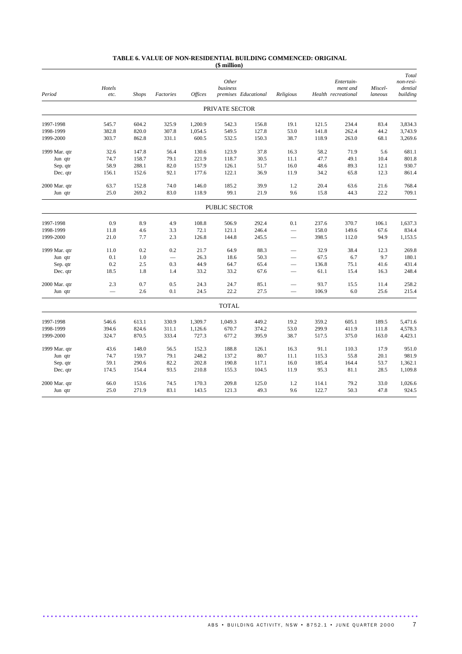#### **TABLE 6. VALUE OF NON-RESIDENTIAL BUILDING COMMENCED: ORIGINAL (\$ million)**

|               |                |              |                          |                | Other          |                      |                          |       | Entertain-                      |                    | Total<br>non-resi-  |
|---------------|----------------|--------------|--------------------------|----------------|----------------|----------------------|--------------------------|-------|---------------------------------|--------------------|---------------------|
| Period        | Hotels<br>etc. | <b>Shops</b> | Factories                | <b>Offices</b> | business       | premises Educational | Religious                |       | ment and<br>Health recreational | Miscel-<br>laneous | dential<br>building |
|               |                |              |                          |                | PRIVATE SECTOR |                      |                          |       |                                 |                    |                     |
| 1997-1998     | 545.7          | 604.2        | 325.9                    | 1,200.9        | 542.3          | 156.8                | 19.1                     | 121.5 | 234.4                           | 83.4               | 3.834.3             |
| 1998-1999     | 382.8          | 820.0        | 307.8                    | 1,054.5        | 549.5          | 127.8                | 53.0                     | 141.8 | 262.4                           | 44.2               | 3,743.9             |
| 1999-2000     | 303.7          | 862.8        | 331.1                    | 600.5          | 532.5          | 150.3                | 38.7                     | 118.9 | 263.0                           | 68.1               | 3,269.6             |
| 1999 Mar. qtr | 32.6           | 147.8        | 56.4                     | 130.6          | 123.9          | 37.8                 | 16.3                     | 58.2  | 71.9                            | 5.6                | 681.1               |
| Jun qtr       | 74.7           | 158.7        | 79.1                     | 221.9          | 118.7          | 30.5                 | 11.1                     | 47.7  | 49.1                            | 10.4               | 801.8               |
| Sep. qtr      | 58.9           | 288.1        | 82.0                     | 157.9          | 126.1          | 51.7                 | 16.0                     | 48.6  | 89.3                            | 12.1               | 930.7               |
| Dec. qtr      | 156.1          | 152.6        | 92.1                     | 177.6          | 122.1          | 36.9                 | 11.9                     | 34.2  | 65.8                            | 12.3               | 861.4               |
| 2000 Mar. qtr | 63.7           | 152.8        | 74.0                     | 146.0          | 185.2          | 39.9                 | 1.2                      | 20.4  | 63.6                            | 21.6               | 768.4               |
| Jun qtr       | 25.0           | 269.2        | 83.0                     | 118.9          | 99.1           | 21.9                 | 9.6                      | 15.8  | 44.3                            | 22.2               | 709.1               |
|               |                |              |                          |                | PUBLIC SECTOR  |                      |                          |       |                                 |                    |                     |
| 1997-1998     | 0.9            | 8.9          | 4.9                      | 108.8          | 506.9          | 292.4                | 0.1                      | 237.6 | 370.7                           | 106.1              | 1,637.3             |
| 1998-1999     | 11.8           | 4.6          | 3.3                      | 72.1           | 121.1          | 246.4                | $\overline{\phantom{0}}$ | 158.0 | 149.6                           | 67.6               | 834.4               |
| 1999-2000     | 21.0           | 7.7          | 2.3                      | 126.8          | 144.8          | 245.5                | $\overline{\phantom{0}}$ | 398.5 | 112.0                           | 94.9               | 1,153.5             |
| 1999 Mar. qtr | 11.0           | 0.2          | 0.2                      | 21.7           | 64.9           | 88.3                 |                          | 32.9  | 38.4                            | 12.3               | 269.8               |
| Jun qtr       | 0.1            | 1.0          | $\overline{\phantom{0}}$ | 26.3           | 18.6           | 50.3                 | $\overline{\phantom{0}}$ | 67.5  | 6.7                             | 9.7                | 180.1               |
| Sep. qtr      | 0.2            | 2.5          | 0.3                      | 44.9           | 64.7           | 65.4                 | $\overline{\phantom{0}}$ | 136.8 | 75.1                            | 41.6               | 431.4               |
| Dec. qtr      | 18.5           | 1.8          | 1.4                      | 33.2           | 33.2           | 67.6                 | -                        | 61.1  | 15.4                            | 16.3               | 248.4               |
| 2000 Mar. qtr | 2.3            | 0.7          | 0.5                      | 24.3           | 24.7           | 85.1                 |                          | 93.7  | 15.5                            | 11.4               | 258.2               |
| Jun qtr       |                | 2.6          | 0.1                      | 24.5           | 22.2           | 27.5                 | $\overline{\phantom{0}}$ | 106.9 | 6.0                             | 25.6               | 215.4               |
|               |                |              |                          |                | <b>TOTAL</b>   |                      |                          |       |                                 |                    |                     |
| 1997-1998     | 546.6          | 613.1        | 330.9                    | 1,309.7        | 1,049.3        | 449.2                | 19.2                     | 359.2 | 605.1                           | 189.5              | 5,471.6             |
| 1998-1999     | 394.6          | 824.6        | 311.1                    | 1,126.6        | 670.7          | 374.2                | 53.0                     | 299.9 | 411.9                           | 111.8              | 4,578.3             |
| 1999-2000     | 324.7          | 870.5        | 333.4                    | 727.3          | 677.2          | 395.9                | 38.7                     | 517.5 | 375.0                           | 163.0              | 4,423.1             |
| 1999 Mar. qtr | 43.6           | 148.0        | 56.5                     | 152.3          | 188.8          | 126.1                | 16.3                     | 91.1  | 110.3                           | 17.9               | 951.0               |
| Jun qtr       | 74.7           | 159.7        | 79.1                     | 248.2          | 137.2          | 80.7                 | 11.1                     | 115.3 | 55.8                            | 20.1               | 981.9               |
| Sep. qtr      | 59.1           | 290.6        | 82.2                     | 202.8          | 190.8          | 117.1                | 16.0                     | 185.4 | 164.4                           | 53.7               | 1,362.1             |
| Dec. qtr      | 174.5          | 154.4        | 93.5                     | 210.8          | 155.3          | 104.5                | 11.9                     | 95.3  | 81.1                            | 28.5               | 1,109.8             |
| 2000 Mar. qtr | 66.0           | 153.6        | 74.5                     | 170.3          | 209.8          | 125.0                | 1.2                      | 114.1 | 79.2                            | 33.0               | 1,026.6             |
| Jun qtr       | 25.0           | 271.9        | 83.1                     | 143.5          | 121.3          | 49.3                 | 9.6                      | 122.7 | 50.3                            | 47.8               | 924.5               |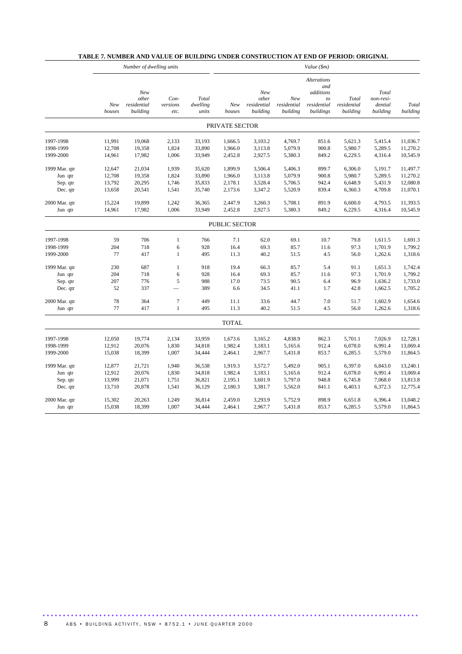|               |               | Number of dwelling units                |                            |                            | Value (\$m)          |                                         |                                |                                                                          |                                  |                                           |                   |
|---------------|---------------|-----------------------------------------|----------------------------|----------------------------|----------------------|-----------------------------------------|--------------------------------|--------------------------------------------------------------------------|----------------------------------|-------------------------------------------|-------------------|
|               | New<br>houses | New<br>other<br>residential<br>building | $Con-$<br>versions<br>etc. | Total<br>dwelling<br>units | New<br>houses        | New<br>other<br>residential<br>building | New<br>residential<br>building | <b>Alterations</b><br>and<br>additions<br>to<br>residential<br>buildings | Total<br>residential<br>building | Total<br>non-resi-<br>dential<br>building | Total<br>building |
|               |               |                                         |                            |                            | PRIVATE SECTOR       |                                         |                                |                                                                          |                                  |                                           |                   |
| 1997-1998     | 11,991        | 19,068                                  | 2,133                      | 33,193                     | 1,666.5              | 3,103.2                                 | 4,769.7                        | 851.6                                                                    | 5,621.3                          | 5,415.4                                   | 11,036.7          |
| 1998-1999     | 12,708        | 19,358                                  | 1,824                      | 33,890                     | 1,966.0              | 3,113.8                                 | 5,079.9                        | 900.8                                                                    | 5,980.7                          | 5,289.5                                   | 11,270.2          |
| 1999-2000     | 14,961        | 17,982                                  | 1,006                      | 33,949                     | 2,452.8              | 2,927.5                                 | 5,380.3                        | 849.2                                                                    | 6,229.5                          | 4,316.4                                   | 10,545.9          |
| 1999 Mar. qtr | 12,647        | 21,034                                  | 1,939                      | 35,620                     | 1,899.9              | 3,506.4                                 | 5,406.3                        | 899.7                                                                    | 6,306.0                          | 5,191.7                                   | 11,497.7          |
| Jun qtr       | 12,708        | 19,358                                  | 1,824                      | 33,890                     | 1,966.0              | 3,113.8                                 | 5,079.9                        | 900.8                                                                    | 5,980.7                          | 5,289.5                                   | 11,270.2          |
| Sep. qtr      | 13,792        | 20,295                                  | 1,746                      | 35,833                     | 2,178.1              | 3,528.4                                 | 5,706.5                        | 942.4                                                                    | 6,648.9                          | 5,431.9                                   | 12,080.8          |
| Dec. qtr      | 13,658        | 20,541                                  | 1,541                      | 35,740                     | 2,173.6              | 3,347.2                                 | 5,520.9                        | 839.4                                                                    | 6,360.3                          | 4,709.8                                   | 11,070.1          |
| 2000 Mar. qtr | 15,224        | 19,899                                  | 1,242                      | 36,365                     | 2,447.9              | 3,260.3                                 | 5,708.1                        | 891.9                                                                    | 6,600.0                          | 4,793.5                                   | 11,393.5          |
| Jun qtr       | 14,961        | 17,982                                  | 1,006                      | 33,949                     | 2,452.8              | 2,927.5                                 | 5,380.3                        | 849.2                                                                    | 6,229.5                          | 4,316.4                                   | 10,545.9          |
|               |               |                                         |                            |                            | <b>PUBLIC SECTOR</b> |                                         |                                |                                                                          |                                  |                                           |                   |
| 1997-1998     | 59            | 706                                     | $\mathbf{1}$               | 766                        | 7.1                  | 62.0                                    | 69.1                           | 10.7                                                                     | 79.8                             | 1,611.5                                   | 1,691.3           |
| 1998-1999     | 204           | 718                                     | 6                          | 928                        | 16.4                 | 69.3                                    | 85.7                           | 11.6                                                                     | 97.3                             | 1,701.9                                   | 1,799.2           |
| 1999-2000     | 77            | 417                                     | $\mathbf{1}$               | 495                        | 11.3                 | 40.2                                    | 51.5                           | 4.5                                                                      | 56.0                             | 1,262.6                                   | 1,318.6           |
| 1999 Mar. qtr | 230           | 687                                     | $\mathbf{1}$               | 918                        | 19.4                 | 66.3                                    | 85.7                           | 5.4                                                                      | 91.1                             | 1,651.3                                   | 1,742.4           |
| Jun qtr       | 204           | 718                                     | 6                          | 928                        | 16.4                 | 69.3                                    | 85.7                           | 11.6                                                                     | 97.3                             | 1,701.9                                   | 1,799.2           |
| Sep. qtr      | 207           | 776                                     | $\sqrt{5}$                 | 988                        | 17.0                 | 73.5                                    | 90.5                           | 6.4                                                                      | 96.9                             | 1,636.2                                   | 1,733.0           |
| Dec. qtr      | 52            | 337                                     |                            | 389                        | 6.6                  | 34.5                                    | 41.1                           | 1.7                                                                      | 42.8                             | 1,662.5                                   | 1,705.2           |
| 2000 Mar. qtr | 78            | 364                                     | $\tau$                     | 449                        | 11.1                 | 33.6                                    | 44.7                           | 7.0                                                                      | 51.7                             | 1,602.9                                   | 1,654.6           |
| Jun qtr       | 77            | 417                                     | $\mathbf{1}$               | 495                        | 11.3                 | 40.2                                    | 51.5                           | 4.5                                                                      | 56.0                             | 1,262.6                                   | 1,318.6           |
|               |               |                                         |                            |                            | <b>TOTAL</b>         |                                         |                                |                                                                          |                                  |                                           |                   |
| 1997-1998     | 12,050        | 19,774                                  | 2,134                      | 33,959                     | 1,673.6              | 3,165.2                                 | 4,838.9                        | 862.3                                                                    | 5,701.1                          | 7,026.9                                   | 12,728.1          |
| 1998-1999     | 12,912        | 20,076                                  | 1,830                      | 34,818                     | 1,982.4              | 3,183.1                                 | 5,165.6                        | 912.4                                                                    | 6,078.0                          | 6,991.4                                   | 13,069.4          |
| 1999-2000     | 15,038        | 18,399                                  | 1,007                      | 34,444                     | 2,464.1              | 2,967.7                                 | 5,431.8                        | 853.7                                                                    | 6,285.5                          | 5,579.0                                   | 11,864.5          |
| 1999 Mar. qtr | 12,877        | 21,721                                  | 1,940                      | 36,538                     | 1,919.3              | 3,572.7                                 | 5,492.0                        | 905.1                                                                    | 6,397.0                          | 6,843.0                                   | 13,240.1          |
| Jun qtr       | 12,912        | 20,076                                  | 1,830                      | 34,818                     | 1,982.4              | 3,183.1                                 | 5,165.6                        | 912.4                                                                    | 6,078.0                          | 6,991.4                                   | 13,069.4          |
| Sep. qtr      | 13,999        | 21,071                                  | 1,751                      | 36,821                     | 2,195.1              | 3,601.9                                 | 5,797.0                        | 948.8                                                                    | 6,745.8                          | 7,068.0                                   | 13,813.8          |
| Dec. qtr      | 13,710        | 20,878                                  | 1,541                      | 36,129                     | 2,180.3              | 3,381.7                                 | 5,562.0                        | 841.1                                                                    | 6,403.1                          | 6,372.3                                   | 12,775.4          |
| 2000 Mar. qtr | 15,302        | 20,263                                  | 1,249                      | 36,814                     | 2,459.0              | 3,293.9                                 | 5,752.9                        | 898.9                                                                    | 6,651.8                          | 6,396.4                                   | 13,048.2          |
| Jun qtr       | 15,038        | 18,399                                  | 1,007                      | 34,444                     | 2,464.1              | 2,967.7                                 | 5,431.8                        | 853.7                                                                    | 6,285.5                          | 5,579.0                                   | 11,864.5          |

.............................................................................................

# **TABLE 7. NUMBER AND VALUE OF BUILDING UNDER CONSTRUCTION AT END OF PERIOD: ORIGINAL**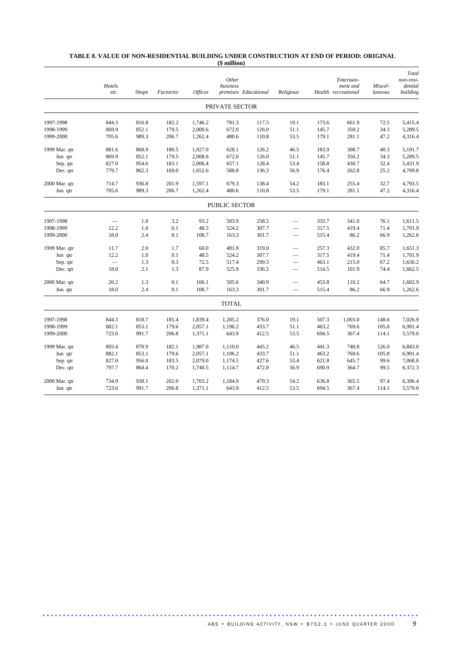#### **TABLE 8. VALUE OF NON-RESIDENTIAL BUILDING UNDER CONSTRUCTION AT END OF PERIOD: ORIGINAL (\$ million)**

|                        | Hotels<br>etc. | <b>Shops</b>   | Factories      | <b>Offices</b>     | Other<br>business    | premises Educational | Religious                |                | Entertain-<br>ment and<br>Health recreational | Miscel-<br>laneous | Total<br>non-resi-<br>dential<br>building |
|------------------------|----------------|----------------|----------------|--------------------|----------------------|----------------------|--------------------------|----------------|-----------------------------------------------|--------------------|-------------------------------------------|
|                        |                |                |                |                    | PRIVATE SECTOR       |                      |                          |                |                                               |                    |                                           |
|                        |                |                |                |                    |                      |                      |                          |                |                                               |                    |                                           |
| 1997-1998              | 844.3<br>869.9 | 816.8<br>852.1 | 182.2<br>179.5 | 1,746.2<br>2,008.6 | 781.3<br>672.0       | 117.5<br>126.0       | 19.1<br>51.1             | 173.6<br>145.7 | 661.9<br>350.2                                | 72.5<br>34.3       | 5,415.4<br>5,289.5                        |
| 1998-1999<br>1999-2000 | 705.6          | 989.3          | 206.7          | 1,262.4            | 480.6                | 110.8                | 53.5                     | 179.1          | 281.1                                         | 47.2               | 4,316.4                                   |
|                        |                |                |                |                    |                      |                      |                          |                |                                               |                    |                                           |
| 1999 Mar. qtr          | 881.6          | 868.9          | 180.5          | 1,927.0            | 628.1                | 126.2                | 46.5                     | 183.9          | 308.7                                         | 40.3               | 5,191.7                                   |
| Jun qtr                | 869.9          | 852.1          | 179.5          | 2,008.6            | 672.0                | 126.0                | 51.1                     | 145.7          | 350.2                                         | 34.3               | 5,289.5                                   |
| Sep. qtr               | 827.0          | 954.6          | 183.1          | 2,006.4            | 657.1                | 128.4                | 53.4                     | 158.8          | 430.7                                         | 32.4               | 5,431.9                                   |
| Dec. qtr               | 779.7          | 862.3          | 169.0          | 1,652.6            | 588.8                | 136.3                | 56.9                     | 176.4          | 262.8                                         | 25.2               | 4,709.8                                   |
| 2000 Mar. qtr          | 714.7          | 936.8          | 201.9          | 1,597.1            | 679.3                | 138.4                | 54.2                     | 183.1          | 255.4                                         | 32.7               | 4,793.5                                   |
| Jun qtr                | 705.6          | 989.3          | 206.7          | 1,262.4            | 480.6                | 110.8                | 53.5                     | 179.1          | 281.1                                         | 47.2               | 4,316.4                                   |
|                        |                |                |                |                    | <b>PUBLIC SECTOR</b> |                      |                          |                |                                               |                    |                                           |
| 1997-1998              |                | 1.8            | 3.2            | 93.2               | 503.9                | 258.5                | $\overline{\phantom{0}}$ | 333.7          | 341.0                                         | 76.1               | 1,611.5                                   |
| 1998-1999              | 12.2           | 1.0            | 0.1            | 48.5               | 524.2                | 307.7                |                          | 317.5          | 419.4                                         | 71.4               | 1,701.9                                   |
| 1999-2000              | 18.0           | 2.4            | 0.1            | 108.7              | 163.3                | 301.7                | $\overline{\phantom{0}}$ | 515.4          | 86.2                                          | 66.9               | 1,262.6                                   |
| 1999 Mar. qtr          | 11.7           | 2.0            | 1.7            | 60.0               | 481.9                | 319.0                |                          | 257.3          | 432.0                                         | 85.7               | 1,651.3                                   |
| Jun qtr                | 12.2           | 1.0            | 0.1            | 48.5               | 524.2                | 307.7                | –                        | 317.5          | 419.4                                         | 71.4               | 1,701.9                                   |
| Sep. qtr               |                | 1.3            | 0.3            | 72.5               | 517.4                | 299.3                | $\overline{\phantom{0}}$ | 463.1          | 215.0                                         | 67.2               | 1,636.2                                   |
| Dec. qtr               | 18.0           | 2.1            | 1.3            | 87.9               | 525.9                | 336.5                | -                        | 514.5          | 101.9                                         | 74.4               | 1,662.5                                   |
| 2000 Mar. qtr          | 20.2           | 1.3            | 0.1            | 106.1              | 505.6                | 340.9                |                          | 453.8          | 110.2                                         | 64.7               | 1,602.9                                   |
| Jun qtr                | 18.0           | 2.4            | 0.1            | 108.7              | 163.3                | 301.7                |                          | 515.4          | 86.2                                          | 66.9               | 1,262.6                                   |
|                        |                |                |                |                    | <b>TOTAL</b>         |                      |                          |                |                                               |                    |                                           |
| 1997-1998              | 844.3          | 818.7          | 185.4          | 1,839.4            | 1,285.2              | 376.0                | 19.1                     | 507.3          | 1,003.0                                       | 148.6              | 7,026.9                                   |
| 1998-1999              | 882.1          | 853.1          | 179.6          | 2,057.1            | 1,196.2              | 433.7                | 51.1                     | 463.2          | 769.6                                         | 105.8              | 6,991.4                                   |
| 1999-2000              | 723.6          | 991.7          | 206.8          | 1,371.1            | 643.9                | 412.5                | 53.5                     | 694.5          | 367.4                                         | 114.1              | 5,579.0                                   |
| 1999 Mar. qtr          | 893.4          | 870.9          | 182.1          | 1,987.0            | 1,110.0              | 445.2                | 46.5                     | 441.3          | 740.8                                         | 126.0              | 6,843.0                                   |
| Jun qtr                | 882.1          | 853.1          | 179.6          | 2,057.1            | 1,196.2              | 433.7                | 51.1                     | 463.2          | 769.6                                         | 105.8              | 6,991.4                                   |
| Sep. qtr               | 827.0          | 956.0          | 183.5          | 2,079.0            | 1,174.5              | 427.6                | 53.4                     | 621.8          | 645.7                                         | 99.6               | 7,068.0                                   |
| Dec. qtr               | 797.7          | 864.4          | 170.2          | 1,740.5            | 1,114.7              | 472.8                | 56.9                     | 690.9          | 364.7                                         | 99.5               | 6,372.3                                   |
| 2000 Mar. qtr          | 734.9          | 938.1          | 202.0          | 1,703.2            | 1,184.9              | 479.3                | 54.2                     | 636.8          | 365.5                                         | 97.4               | 6,396.4                                   |
| Jun qtr                | 723.6          | 991.7          | 206.8          | 1,371.1            | 643.9                | 412.5                | 53.5                     | 694.5          | 367.4                                         | 114.1              | 5,579.0                                   |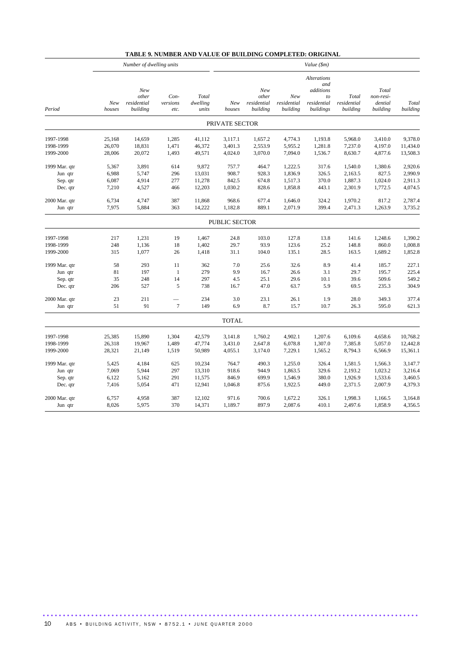# **TABLE 9. NUMBER AND VALUE OF BUILDING COMPLETED: ORIGINAL**

|               | Number of dwelling units |                                         |                          |                            | Value (\$m)    |                                         |                                |                                                                          |                                  |                                           |                   |
|---------------|--------------------------|-----------------------------------------|--------------------------|----------------------------|----------------|-----------------------------------------|--------------------------------|--------------------------------------------------------------------------|----------------------------------|-------------------------------------------|-------------------|
| Period        | New<br>houses            | New<br>other<br>residential<br>building | Con-<br>versions<br>etc. | Total<br>dwelling<br>units | New<br>houses  | New<br>other<br>residential<br>building | New<br>residential<br>building | <b>Alterations</b><br>and<br>additions<br>to<br>residential<br>buildings | Total<br>residential<br>building | Total<br>non-resi-<br>dential<br>building | Total<br>building |
|               |                          |                                         |                          |                            | PRIVATE SECTOR |                                         |                                |                                                                          |                                  |                                           |                   |
| 1997-1998     | 25,168                   | 14,659                                  | 1,285                    | 41,112                     | 3,117.1        | 1,657.2                                 | 4,774.3                        | 1,193.8                                                                  | 5,968.0                          | 3,410.0                                   | 9,378.0           |
| 1998-1999     | 26,070                   | 18,831                                  | 1,471                    | 46,372                     | 3,401.3        | 2,553.9                                 | 5,955.2                        | 1,281.8                                                                  | 7,237.0                          | 4,197.0                                   | 11,434.0          |
| 1999-2000     | 28,006                   | 20,072                                  | 1,493                    | 49,571                     | 4,024.0        | 3,070.0                                 | 7,094.0                        | 1,536.7                                                                  | 8,630.7                          | 4,877.6                                   | 13,508.3          |
| 1999 Mar. qtr | 5,367                    | 3,891                                   | 614                      | 9,872                      | 757.7          | 464.7                                   | 1,222.5                        | 317.6                                                                    | 1,540.0                          | 1,380.6                                   | 2,920.6           |
| Jun qtr       | 6,988                    | 5,747                                   | 296                      | 13,031                     | 908.7          | 928.3                                   | 1,836.9                        | 326.5                                                                    | 2,163.5                          | 827.5                                     | 2,990.9           |
| Sep. qtr      | 6,087                    | 4,914                                   | 277                      | 11,278                     | 842.5          | 674.8                                   | 1,517.3                        | 370.0                                                                    | 1,887.3                          | 1,024.0                                   | 2,911.3           |
| Dec. qtr      | 7,210                    | 4,527                                   | 466                      | 12,203                     | 1,030.2        | 828.6                                   | 1,858.8                        | 443.1                                                                    | 2,301.9                          | 1,772.5                                   | 4,074.5           |
| 2000 Mar. qtr | 6,734                    | 4,747                                   | 387                      | 11,868                     | 968.6          | 677.4                                   | 1,646.0                        | 324.2                                                                    | 1,970.2                          | 817.2                                     | 2,787.4           |
| Jun qtr       | 7,975                    | 5,884                                   | 363                      | 14,222                     | 1,182.8        | 889.1                                   | 2,071.9                        | 399.4                                                                    | 2,471.3                          | 1,263.9                                   | 3,735.2           |
|               |                          |                                         |                          |                            | PUBLIC SECTOR  |                                         |                                |                                                                          |                                  |                                           |                   |
| 1997-1998     | 217                      | 1,231                                   | 19                       | 1,467                      | 24.8           | 103.0                                   | 127.8                          | 13.8                                                                     | 141.6                            | 1,248.6                                   | 1,390.2           |
| 1998-1999     | 248                      | 1,136                                   | 18                       | 1,402                      | 29.7           | 93.9                                    | 123.6                          | 25.2                                                                     | 148.8                            | 860.0                                     | 1,008.8           |
| 1999-2000     | 315                      | 1,077                                   | 26                       | 1,418                      | 31.1           | 104.0                                   | 135.1                          | 28.5                                                                     | 163.5                            | 1,689.2                                   | 1,852.8           |
| 1999 Mar. qtr | 58                       | 293                                     | 11                       | 362                        | 7.0            | 25.6                                    | 32.6                           | 8.9                                                                      | 41.4                             | 185.7                                     | 227.1             |
| Jun qtr       | 81                       | 197                                     | $\mathbf{1}$             | 279                        | 9.9            | 16.7                                    | 26.6                           | 3.1                                                                      | 29.7                             | 195.7                                     | 225.4             |
| Sep. qtr      | 35                       | 248                                     | 14                       | 297                        | 4.5            | 25.1                                    | 29.6                           | 10.1                                                                     | 39.6                             | 509.6                                     | 549.2             |
| Dec. qtr      | 206                      | 527                                     | 5                        | 738                        | 16.7           | 47.0                                    | 63.7                           | 5.9                                                                      | 69.5                             | 235.3                                     | 304.9             |
| 2000 Mar. qtr | 23                       | 211                                     | $\overline{7}$           | 234                        | 3.0            | 23.1                                    | 26.1                           | 1.9                                                                      | 28.0                             | 349.3                                     | 377.4             |
| Jun qtr       | 51                       | 91                                      |                          | 149                        | 6.9            | 8.7                                     | 15.7                           | 10.7                                                                     | 26.3                             | 595.0                                     | 621.3             |
|               |                          |                                         |                          |                            | <b>TOTAL</b>   |                                         |                                |                                                                          |                                  |                                           |                   |
| 1997-1998     | 25,385                   | 15,890                                  | 1,304                    | 42,579                     | 3,141.8        | 1,760.2                                 | 4,902.1                        | 1,207.6                                                                  | 6,109.6                          | 4,658.6                                   | 10,768.2          |
| 1998-1999     | 26,318                   | 19,967                                  | 1,489                    | 47,774                     | 3,431.0        | 2,647.8                                 | 6,078.8                        | 1,307.0                                                                  | 7,385.8                          | 5,057.0                                   | 12,442.8          |
| 1999-2000     | 28,321                   | 21,149                                  | 1,519                    | 50,989                     | 4,055.1        | 3,174.0                                 | 7,229.1                        | 1,565.2                                                                  | 8,794.3                          | 6,566.9                                   | 15,361.1          |
| 1999 Mar. qtr | 5,425                    | 4,184                                   | 625                      | 10,234                     | 764.7          | 490.3                                   | 1,255.0                        | 326.4                                                                    | 1,581.5                          | 1,566.3                                   | 3,147.7           |
| Jun qtr       | 7,069                    | 5,944                                   | 297                      | 13,310                     | 918.6          | 944.9                                   | 1,863.5                        | 329.6                                                                    | 2,193.2                          | 1,023.2                                   | 3,216.4           |
| Sep. qtr      | 6,122                    | 5,162                                   | 291                      | 11,575                     | 846.9          | 699.9                                   | 1,546.9                        | 380.0                                                                    | 1,926.9                          | 1,533.6                                   | 3,460.5           |
| Dec. qtr      | 7,416                    | 5,054                                   | 471                      | 12,941                     | 1,046.8        | 875.6                                   | 1,922.5                        | 449.0                                                                    | 2,371.5                          | 2,007.9                                   | 4,379.3           |
| 2000 Mar. qtr | 6,757                    | 4,958                                   | 387                      | 12,102                     | 971.6          | 700.6                                   | 1,672.2                        | 326.1                                                                    | 1,998.3                          | 1,166.5                                   | 3,164.8           |
| Jun qtr       | 8,026                    | 5,975                                   | 370                      | 14,371                     | 1,189.7        | 897.9                                   | 2,087.6                        | 410.1                                                                    | 2,497.6                          | 1,858.9                                   | 4,356.5           |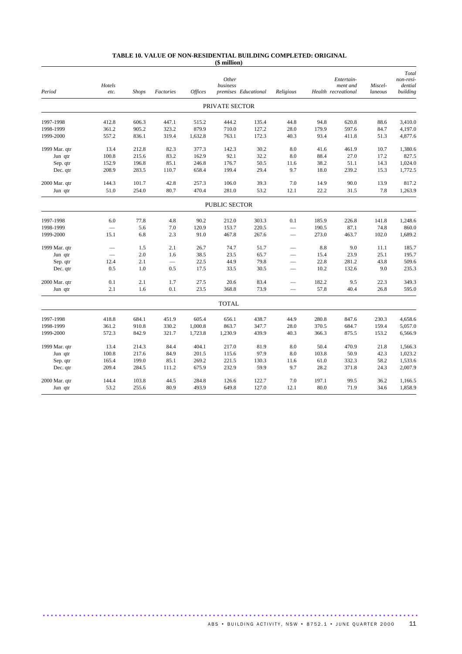#### **TABLE 10. VALUE OF NON-RESIDENTIAL BUILDING COMPLETED: ORIGINAL (\$ million)**

| Period        | Hotels<br>etc.           | <b>Shops</b> | Factories | <b>Offices</b> | Other<br>business<br>premises Educational |       | Religious                |       | Entertain-<br>ment and<br>Health recreational | Miscel-<br>laneous | Total<br>non-resi-<br>dential<br>building |
|---------------|--------------------------|--------------|-----------|----------------|-------------------------------------------|-------|--------------------------|-------|-----------------------------------------------|--------------------|-------------------------------------------|
|               |                          |              |           |                | PRIVATE SECTOR                            |       |                          |       |                                               |                    |                                           |
| 1997-1998     | 412.8                    | 606.3        | 447.1     | 515.2          | 444.2                                     | 135.4 | 44.8                     | 94.8  | 620.8                                         | 88.6               | 3,410.0                                   |
| 1998-1999     | 361.2                    | 905.2        | 323.2     | 879.9          | 710.0                                     | 127.2 | 28.0                     | 179.9 | 597.6                                         | 84.7               | 4,197.0                                   |
| 1999-2000     | 557.2                    | 836.1        | 319.4     | 1,632.8        | 763.1                                     | 172.3 | 40.3                     | 93.4  | 411.8                                         | 51.3               | 4,877.6                                   |
| 1999 Mar. qtr | 13.4                     | 212.8        | 82.3      | 377.3          | 142.3                                     | 30.2  | 8.0                      | 41.6  | 461.9                                         | 10.7               | 1,380.6                                   |
| Jun qtr       | 100.8                    | 215.6        | 83.2      | 162.9          | 92.1                                      | 32.2  | 8.0                      | 88.4  | 27.0                                          | 17.2               | 827.5                                     |
| Sep. qtr      | 152.9                    | 196.8        | 85.1      | 246.8          | 176.7                                     | 50.5  | 11.6                     | 38.2  | 51.1                                          | 14.3               | 1,024.0                                   |
| Dec. qtr      | 208.9                    | 283.5        | 110.7     | 658.4          | 199.4                                     | 29.4  | 9.7                      | 18.0  | 239.2                                         | 15.3               | 1,772.5                                   |
| 2000 Mar. qtr | 144.3                    | 101.7        | 42.8      | 257.3          | 106.0                                     | 39.3  | 7.0                      | 14.9  | 90.0                                          | 13.9               | 817.2                                     |
| Jun qtr       | 51.0                     | 254.0        | 80.7      | 470.4          | 281.0                                     | 53.2  | 12.1                     | 22.2  | 31.5                                          | 7.8                | 1,263.9                                   |
|               |                          |              |           |                | <b>PUBLIC SECTOR</b>                      |       |                          |       |                                               |                    |                                           |
| 1997-1998     | 6.0                      | 77.8         | 4.8       | 90.2           | 212.0                                     | 303.3 | 0.1                      | 185.9 | 226.8                                         | 141.8              | 1,248.6                                   |
| 1998-1999     | $\overline{\phantom{0}}$ | 5.6          | 7.0       | 120.9          | 153.7                                     | 220.5 |                          | 190.5 | 87.1                                          | 74.8               | 860.0                                     |
| 1999-2000     | 15.1                     | 6.8          | 2.3       | 91.0           | 467.8                                     | 267.6 | $\overline{\phantom{a}}$ | 273.0 | 463.7                                         | 102.0              | 1,689.2                                   |
| 1999 Mar. qtr |                          | 1.5          | 2.1       | 26.7           | 74.7                                      | 51.7  |                          | 8.8   | 9.0                                           | 11.1               | 185.7                                     |
| Jun qtr       |                          | 2.0          | 1.6       | 38.5           | 23.5                                      | 65.7  | $\overline{\phantom{0}}$ | 15.4  | 23.9                                          | 25.1               | 195.7                                     |
| Sep. qtr      | 12.4                     | 2.1          |           | 22.5           | 44.9                                      | 79.8  | $\overline{\phantom{0}}$ | 22.8  | 281.2                                         | 43.8               | 509.6                                     |
| Dec. qtr      | 0.5                      | 1.0          | 0.5       | 17.5           | 33.5                                      | 30.5  | $\overline{\phantom{a}}$ | 10.2  | 132.6                                         | 9.0                | 235.3                                     |
| 2000 Mar. qtr | 0.1                      | 2.1          | 1.7       | 27.5           | 20.6                                      | 83.4  |                          | 182.2 | 9.5                                           | 22.3               | 349.3                                     |
| Jun qtr       | 2.1                      | 1.6          | 0.1       | 23.5           | 368.8                                     | 73.9  |                          | 57.8  | 40.4                                          | 26.8               | 595.0                                     |
|               |                          |              |           |                | <b>TOTAL</b>                              |       |                          |       |                                               |                    |                                           |
| 1997-1998     | 418.8                    | 684.1        | 451.9     | 605.4          | 656.1                                     | 438.7 | 44.9                     | 280.8 | 847.6                                         | 230.3              | 4,658.6                                   |
| 1998-1999     | 361.2                    | 910.8        | 330.2     | 1,000.8        | 863.7                                     | 347.7 | 28.0                     | 370.5 | 684.7                                         | 159.4              | 5,057.0                                   |
| 1999-2000     | 572.3                    | 842.9        | 321.7     | 1,723.8        | 1,230.9                                   | 439.9 | 40.3                     | 366.3 | 875.5                                         | 153.2              | 6,566.9                                   |
| 1999 Mar. qtr | 13.4                     | 214.3        | 84.4      | 404.1          | 217.0                                     | 81.9  | 8.0                      | 50.4  | 470.9                                         | 21.8               | 1,566.3                                   |
| Jun qtr       | 100.8                    | 217.6        | 84.9      | 201.5          | 115.6                                     | 97.9  | 8.0                      | 103.8 | 50.9                                          | 42.3               | 1,023.2                                   |
| Sep. qtr      | 165.4                    | 199.0        | 85.1      | 269.2          | 221.5                                     | 130.3 | 11.6                     | 61.0  | 332.3                                         | 58.2               | 1,533.6                                   |
| Dec. qtr      | 209.4                    | 284.5        | 111.2     | 675.9          | 232.9                                     | 59.9  | 9.7                      | 28.2  | 371.8                                         | 24.3               | 2,007.9                                   |
| 2000 Mar. qtr | 144.4                    | 103.8        | 44.5      | 284.8          | 126.6                                     | 122.7 | 7.0                      | 197.1 | 99.5                                          | 36.2               | 1,166.5                                   |
| Jun qtr       | 53.2                     | 255.6        | 80.9      | 493.9          | 649.8                                     | 127.0 | 12.1                     | 80.0  | 71.9                                          | 34.6               | 1,858.9                                   |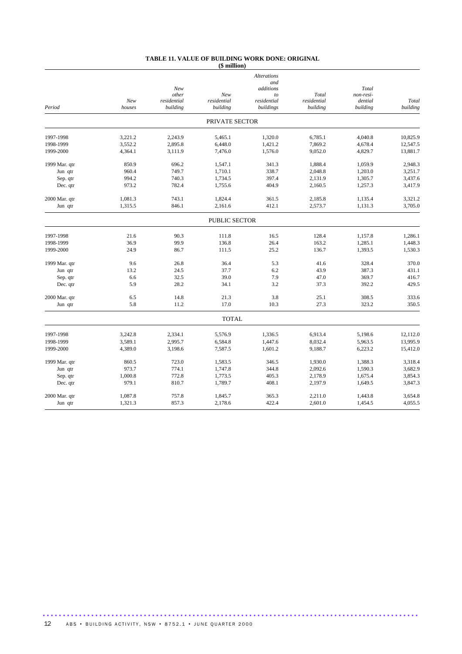#### **TABLE 11. VALUE OF BUILDING WORK DONE: ORIGINAL (\$ million)**

|               |         |             |                      | <b>Alterations</b> |             |           |          |
|---------------|---------|-------------|----------------------|--------------------|-------------|-----------|----------|
|               |         | New         |                      | and<br>additions   |             | Total     |          |
|               |         | other       | New                  | to                 | Total       | non-resi- |          |
|               | New     | residential | residential          | residential        | residential | dential   | Total    |
| Period        | houses  | building    | building             | buildings          | building    | building  | building |
|               |         |             | PRIVATE SECTOR       |                    |             |           |          |
| 1997-1998     | 3,221.2 | 2,243.9     | 5,465.1              | 1,320.0            | 6,785.1     | 4.040.8   | 10,825.9 |
| 1998-1999     | 3,552.2 | 2,895.8     | 6,448.0              | 1,421.2            | 7,869.2     | 4,678.4   | 12,547.5 |
| 1999-2000     | 4,364.1 | 3,111.9     | 7,476.0              | 1,576.0            | 9,052.0     | 4,829.7   | 13,881.7 |
| 1999 Mar. qtr | 850.9   | 696.2       | 1,547.1              | 341.3              | 1.888.4     | 1.059.9   | 2,948.3  |
| Jun qtr       | 960.4   | 749.7       | 1,710.1              | 338.7              | 2,048.8     | 1,203.0   | 3,251.7  |
| Sep. qtr      | 994.2   | 740.3       | 1,734.5              | 397.4              | 2,131.9     | 1,305.7   | 3,437.6  |
| Dec. qtr      | 973.2   | 782.4       | 1,755.6              | 404.9              | 2,160.5     | 1,257.3   | 3,417.9  |
| 2000 Mar. qtr | 1,081.3 | 743.1       | 1,824.4              | 361.5              | 2,185.8     | 1,135.4   | 3,321.2  |
| Jun qtr       | 1,315.5 | 846.1       | 2,161.6              | 412.1              | 2,573.7     | 1,131.3   | 3,705.0  |
|               |         |             | <b>PUBLIC SECTOR</b> |                    |             |           |          |
| 1997-1998     | 21.6    | 90.3        | 111.8                | 16.5               | 128.4       | 1,157.8   | 1.286.1  |
| 1998-1999     | 36.9    | 99.9        | 136.8                | 26.4               | 163.2       | 1,285.1   | 1,448.3  |
| 1999-2000     | 24.9    | 86.7        | 111.5                | 25.2               | 136.7       | 1,393.5   | 1,530.3  |
| 1999 Mar. qtr | 9.6     | 26.8        | 36.4                 | 5.3                | 41.6        | 328.4     | 370.0    |
| Jun qtr       | 13.2    | 24.5        | 37.7                 | 6.2                | 43.9        | 387.3     | 431.1    |
| Sep. qtr      | 6.6     | 32.5        | 39.0                 | 7.9                | 47.0        | 369.7     | 416.7    |
| Dec. qtr      | 5.9     | 28.2        | 34.1                 | 3.2                | 37.3        | 392.2     | 429.5    |
| 2000 Mar. qtr | 6.5     | 14.8        | 21.3                 | 3.8                | 25.1        | 308.5     | 333.6    |
| Jun qtr       | 5.8     | 11.2        | 17.0                 | 10.3               | 27.3        | 323.2     | 350.5    |
|               |         |             | <b>TOTAL</b>         |                    |             |           |          |
| 1997-1998     | 3,242.8 | 2,334.1     | 5,576.9              | 1,336.5            | 6,913.4     | 5,198.6   | 12,112.0 |
| 1998-1999     | 3,589.1 | 2,995.7     | 6,584.8              | 1,447.6            | 8,032.4     | 5,963.5   | 13,995.9 |
| 1999-2000     | 4,389.0 | 3,198.6     | 7,587.5              | 1,601.2            | 9,188.7     | 6,223.2   | 15,412.0 |
| 1999 Mar. qtr | 860.5   | 723.0       | 1,583.5              | 346.5              | 1,930.0     | 1,388.3   | 3,318.4  |
| Jun qtr       | 973.7   | 774.1       | 1,747.8              | 344.8              | 2,092.6     | 1,590.3   | 3,682.9  |
| Sep. qtr      | 1,000.8 | 772.8       | 1,773.5              | 405.3              | 2,178.9     | 1,675.4   | 3,854.3  |
| Dec. qtr      | 979.1   | 810.7       | 1,789.7              | 408.1              | 2,197.9     | 1,649.5   | 3,847.3  |
| 2000 Mar. qtr | 1,087.8 | 757.8       | 1,845.7              | 365.3              | 2,211.0     | 1,443.8   | 3,654.8  |
| Jun qtr       | 1,321.3 | 857.3       | 2,178.6              | 422.4              | 2,601.0     | 1,454.5   | 4,055.5  |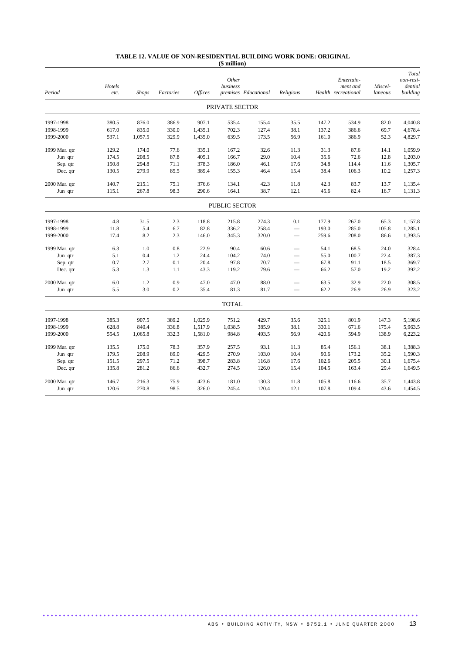#### **TABLE 12. VALUE OF NON-RESIDENTIAL BUILDING WORK DONE: ORIGINAL (\$ million)**

| Period        | Hotels<br>etc. | <b>Shops</b> | Factories | <b>Offices</b> | Other<br>business | premises Educational | Religious                |       | Entertain-<br>ment and<br>Health recreational | Miscel-<br>laneous | Total<br>non-resi-<br>dential<br>building |
|---------------|----------------|--------------|-----------|----------------|-------------------|----------------------|--------------------------|-------|-----------------------------------------------|--------------------|-------------------------------------------|
|               |                |              |           |                | PRIVATE SECTOR    |                      |                          |       |                                               |                    |                                           |
| 1997-1998     | 380.5          | 876.0        | 386.9     | 907.1          | 535.4             | 155.4                | 35.5                     | 147.2 | 534.9                                         | 82.0               | 4,040.8                                   |
| 1998-1999     | 617.0          | 835.0        | 330.0     | 1,435.1        | 702.3             | 127.4                | 38.1                     | 137.2 | 386.6                                         | 69.7               | 4,678.4                                   |
| 1999-2000     | 537.1          | 1,057.5      | 329.9     | 1,435.0        | 639.5             | 173.5                | 56.9                     | 161.0 | 386.9                                         | 52.3               | 4,829.7                                   |
| 1999 Mar. qtr | 129.2          | 174.0        | 77.6      | 335.1          | 167.2             | 32.6                 | 11.3                     | 31.3  | 87.6                                          | 14.1               | 1,059.9                                   |
| Jun qtr       | 174.5          | 208.5        | 87.8      | 405.1          | 166.7             | 29.0                 | 10.4                     | 35.6  | 72.6                                          | 12.8               | 1,203.0                                   |
| Sep. qtr      | 150.8          | 294.8        | 71.1      | 378.3          | 186.0             | 46.1                 | 17.6                     | 34.8  | 114.4                                         | 11.6               | 1,305.7                                   |
| Dec. qtr      | 130.5          | 279.9        | 85.5      | 389.4          | 155.3             | 46.4                 | 15.4                     | 38.4  | 106.3                                         | 10.2               | 1,257.3                                   |
| 2000 Mar. qtr | 140.7          | 215.1        | 75.1      | 376.6          | 134.1             | 42.3                 | 11.8                     | 42.3  | 83.7                                          | 13.7               | 1,135.4                                   |
| Jun qtr       | 115.1          | 267.8        | 98.3      | 290.6          | 164.1             | 38.7                 | 12.1                     | 45.6  | 82.4                                          | 16.7               | 1,131.3                                   |
|               |                |              |           |                | PUBLIC SECTOR     |                      |                          |       |                                               |                    |                                           |
| 1997-1998     | 4.8            | 31.5         | 2.3       | 118.8          | 215.8             | 274.3                | 0.1                      | 177.9 | 267.0                                         | 65.3               | 1,157.8                                   |
| 1998-1999     | 11.8           | 5.4          | 6.7       | 82.8           | 336.2             | 258.4                | $\overline{\phantom{0}}$ | 193.0 | 285.0                                         | 105.8              | 1,285.1                                   |
| 1999-2000     | 17.4           | 8.2          | 2.3       | 146.0          | 345.3             | 320.0                |                          | 259.6 | 208.0                                         | 86.6               | 1,393.5                                   |
| 1999 Mar. qtr | 6.3            | 1.0          | 0.8       | 22.9           | 90.4              | 60.6                 |                          | 54.1  | 68.5                                          | 24.0               | 328.4                                     |
| Jun qtr       | 5.1            | 0.4          | 1.2       | 24.4           | 104.2             | 74.0                 | $\overline{\phantom{0}}$ | 55.0  | 100.7                                         | 22.4               | 387.3                                     |
| Sep. qtr      | 0.7            | 2.7          | 0.1       | 20.4           | 97.8              | 70.7                 | $\overline{\phantom{0}}$ | 67.8  | 91.1                                          | 18.5               | 369.7                                     |
| Dec. qtr      | 5.3            | 1.3          | 1.1       | 43.3           | 119.2             | 79.6                 | $\overline{\phantom{0}}$ | 66.2  | 57.0                                          | 19.2               | 392.2                                     |
| 2000 Mar. qtr | 6.0            | 1.2          | 0.9       | 47.0           | 47.0              | 88.0                 |                          | 63.5  | 32.9                                          | 22.0               | 308.5                                     |
| Jun qtr       | 5.5            | 3.0          | 0.2       | 35.4           | 81.3              | 81.7                 |                          | 62.2  | 26.9                                          | 26.9               | 323.2                                     |
|               |                |              |           |                | <b>TOTAL</b>      |                      |                          |       |                                               |                    |                                           |
| 1997-1998     | 385.3          | 907.5        | 389.2     | 1,025.9        | 751.2             | 429.7                | 35.6                     | 325.1 | 801.9                                         | 147.3              | 5,198.6                                   |
| 1998-1999     | 628.8          | 840.4        | 336.8     | 1,517.9        | 1,038.5           | 385.9                | 38.1                     | 330.1 | 671.6                                         | 175.4              | 5,963.5                                   |
| 1999-2000     | 554.5          | 1,065.8      | 332.3     | 1,581.0        | 984.8             | 493.5                | 56.9                     | 420.6 | 594.9                                         | 138.9              | 6,223.2                                   |
| 1999 Mar. qtr | 135.5          | 175.0        | 78.3      | 357.9          | 257.5             | 93.1                 | 11.3                     | 85.4  | 156.1                                         | 38.1               | 1,388.3                                   |
| Jun qtr       | 179.5          | 208.9        | 89.0      | 429.5          | 270.9             | 103.0                | 10.4                     | 90.6  | 173.2                                         | 35.2               | 1,590.3                                   |
| Sep. qtr      | 151.5          | 297.5        | 71.2      | 398.7          | 283.8             | 116.8                | 17.6                     | 102.6 | 205.5                                         | 30.1               | 1,675.4                                   |
| Dec. qtr      | 135.8          | 281.2        | 86.6      | 432.7          | 274.5             | 126.0                | 15.4                     | 104.5 | 163.4                                         | 29.4               | 1,649.5                                   |
| 2000 Mar. qtr | 146.7          | 216.3        | 75.9      | 423.6          | 181.0             | 130.3                | 11.8                     | 105.8 | 116.6                                         | 35.7               | 1,443.8                                   |
| Jun qtr       | 120.6          | 270.8        | 98.5      | 326.0          | 245.4             | 120.4                | 12.1                     | 107.8 | 109.4                                         | 43.6               | 1,454.5                                   |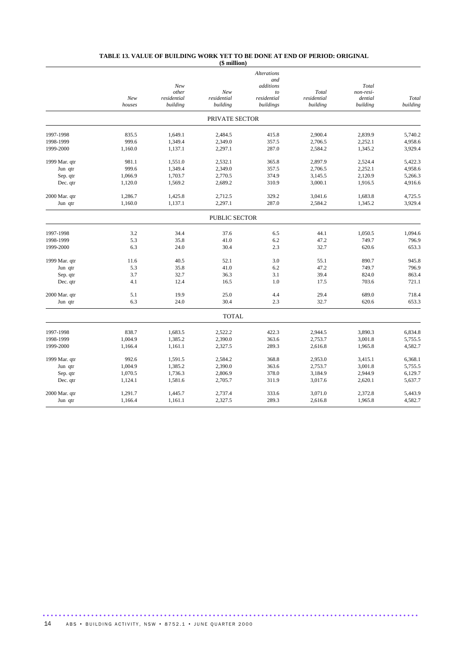#### **TABLE 13. VALUE OF BUILDING WORK YET TO BE DONE AT END OF PERIOD: ORIGINAL**

|               |               |                         | (\$ million)            |                           |                         |                     |                   |
|---------------|---------------|-------------------------|-------------------------|---------------------------|-------------------------|---------------------|-------------------|
|               |               |                         |                         | <b>Alterations</b><br>and |                         |                     |                   |
|               |               | New<br>other            | New                     | additions<br>to           | Total                   | Total<br>non-resi-  |                   |
|               | New<br>houses | residential<br>building | residential<br>building | residential<br>buildings  | residential<br>building | dential<br>building | Total<br>building |
|               |               |                         | PRIVATE SECTOR          |                           |                         |                     |                   |
| 1997-1998     | 835.5         | 1,649.1                 | 2,484.5                 | 415.8                     | 2,900.4                 | 2,839.9             | 5,740.2           |
| 1998-1999     | 999.6         | 1,349.4                 | 2,349.0                 | 357.5                     | 2,706.5                 | 2,252.1             | 4,958.6           |
| 1999-2000     | 1,160.0       | 1,137.1                 | 2,297.1                 | 287.0                     | 2,584.2                 | 1,345.2             | 3,929.4           |
| 1999 Mar. qtr | 981.1         | 1,551.0                 | 2,532.1                 | 365.8                     | 2,897.9                 | 2,524.4             | 5,422.3           |
| Jun qtr       | 999.6         | 1,349.4                 | 2,349.0                 | 357.5                     | 2,706.5                 | 2,252.1             | 4,958.6           |
| Sep. qtr      | 1,066.9       | 1,703.7                 | 2,770.5                 | 374.9                     | 3,145.5                 | 2,120.9             | 5,266.3           |
| Dec. qtr      | 1,120.0       | 1,569.2                 | 2,689.2                 | 310.9                     | 3,000.1                 | 1,916.5             | 4,916.6           |
| 2000 Mar. qtr | 1,286.7       | 1,425.8                 | 2,712.5                 | 329.2                     | 3,041.6                 | 1,683.8             | 4,725.5           |
| Jun qtr       | 1,160.0       | 1,137.1                 | 2,297.1                 | 287.0                     | 2,584.2                 | 1,345.2             | 3,929.4           |
|               |               |                         | <b>PUBLIC SECTOR</b>    |                           |                         |                     |                   |
| 1997-1998     | 3.2           | 34.4                    | 37.6                    | 6.5                       | 44.1                    | 1,050.5             | 1,094.6           |
| 1998-1999     | 5.3           | 35.8                    | 41.0                    | 6.2                       | 47.2                    | 749.7               | 796.9             |
| 1999-2000     | 6.3           | 24.0                    | 30.4                    | 2.3                       | 32.7                    | 620.6               | 653.3             |
| 1999 Mar. qtr | 11.6          | 40.5                    | 52.1                    | 3.0                       | 55.1                    | 890.7               | 945.8             |
| Jun qtr       | 5.3           | 35.8                    | 41.0                    | 6.2                       | 47.2                    | 749.7               | 796.9             |
| Sep. qtr      | 3.7           | 32.7                    | 36.3                    | 3.1                       | 39.4                    | 824.0               | 863.4             |
| Dec. qtr      | 4.1           | 12.4                    | 16.5                    | 1.0                       | 17.5                    | 703.6               | 721.1             |
| 2000 Mar. qtr | 5.1           | 19.9                    | 25.0                    | 4.4                       | 29.4                    | 689.0               | 718.4             |
| Jun qtr       | 6.3           | 24.0                    | 30.4                    | 2.3                       | 32.7                    | 620.6               | 653.3             |
|               |               |                         | <b>TOTAL</b>            |                           |                         |                     |                   |
| 1997-1998     | 838.7         | 1,683.5                 | 2,522.2                 | 422.3                     | 2,944.5                 | 3,890.3             | 6,834.8           |
| 1998-1999     | 1,004.9       | 1,385.2                 | 2,390.0                 | 363.6                     | 2,753.7                 | 3,001.8             | 5,755.5           |
| 1999-2000     | 1,166.4       | 1,161.1                 | 2,327.5                 | 289.3                     | 2,616.8                 | 1,965.8             | 4,582.7           |
| 1999 Mar. qtr | 992.6         | 1,591.5                 | 2,584.2                 | 368.8                     | 2,953.0                 | 3,415.1             | 6,368.1           |
| Jun qtr       | 1,004.9       | 1,385.2                 | 2,390.0                 | 363.6                     | 2,753.7                 | 3,001.8             | 5,755.5           |
| Sep. qtr      | 1,070.5       | 1,736.3                 | 2,806.9                 | 378.0                     | 3,184.9                 | 2,944.9             | 6,129.7           |
| Dec. qtr      | 1,124.1       | 1,581.6                 | 2,705.7                 | 311.9                     | 3,017.6                 | 2,620.1             | 5,637.7           |
| 2000 Mar. qtr | 1,291.7       | 1,445.7                 | 2,737.4                 | 333.6                     | 3,071.0                 | 2,372.8             | 5,443.9           |
| Jun qtr       | 1,166.4       | 1,161.1                 | 2,327.5                 | 289.3                     | 2,616.8                 | 1,965.8             | 4,582.7           |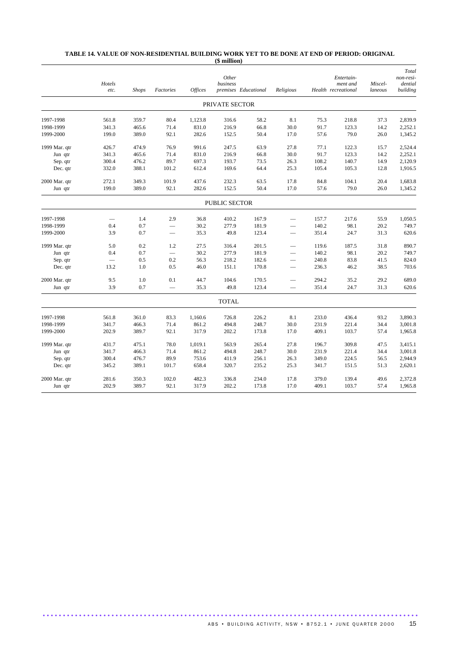#### **TABLE 14. VALUE OF NON-RESIDENTIAL BUILDING WORK YET TO BE DONE AT END OF PERIOD: ORIGINAL (\$ million)**

|               | Hotels<br>etc. | <b>Shops</b> | Factories                | <b>Offices</b> | Other<br>business | premises Educational | Religious                |       | Entertain-<br>ment and<br>Health recreational | Miscel-<br>laneous | Total<br>non-resi-<br>dential<br>building |
|---------------|----------------|--------------|--------------------------|----------------|-------------------|----------------------|--------------------------|-------|-----------------------------------------------|--------------------|-------------------------------------------|
|               |                |              |                          |                | PRIVATE SECTOR    |                      |                          |       |                                               |                    |                                           |
| 1997-1998     | 561.8          | 359.7        | 80.4                     | 1,123.8        | 316.6             | 58.2                 | 8.1                      | 75.3  | 218.8                                         | 37.3               | 2,839.9                                   |
| 1998-1999     | 341.3          | 465.6        | 71.4                     | 831.0          | 216.9             | 66.8                 | 30.0                     | 91.7  | 123.3                                         | 14.2               | 2,252.1                                   |
| 1999-2000     | 199.0          | 389.0        | 92.1                     | 282.6          | 152.5             | 50.4                 | 17.0                     | 57.6  | 79.0                                          | 26.0               | 1,345.2                                   |
| 1999 Mar. qtr | 426.7          | 474.9        | 76.9                     | 991.6          | 247.5             | 63.9                 | 27.8                     | 77.1  | 122.3                                         | 15.7               | 2,524.4                                   |
| Jun qtr       | 341.3          | 465.6        | 71.4                     | 831.0          | 216.9             | 66.8                 | 30.0                     | 91.7  | 123.3                                         | 14.2               | 2,252.1                                   |
| Sep. qtr      | 300.4          | 476.2        | 89.7                     | 697.3          | 193.7             | 73.5                 | 26.3                     | 108.2 | 140.7                                         | 14.9               | 2,120.9                                   |
| Dec. qtr      | 332.0          | 388.1        | 101.2                    | 612.4          | 169.6             | 64.4                 | 25.3                     | 105.4 | 105.3                                         | 12.8               | 1,916.5                                   |
| 2000 Mar. qtr | 272.1          | 349.3        | 101.9                    | 437.6          | 232.3             | 63.5                 | 17.8                     | 84.8  | 104.1                                         | 20.4               | 1,683.8                                   |
| Jun qtr       | 199.0          | 389.0        | 92.1                     | 282.6          | 152.5             | 50.4                 | 17.0                     | 57.6  | 79.0                                          | 26.0               | 1,345.2                                   |
|               |                |              |                          |                | PUBLIC SECTOR     |                      |                          |       |                                               |                    |                                           |
| 1997-1998     |                | 1.4          | 2.9                      | 36.8           | 410.2             | 167.9                |                          | 157.7 | 217.6                                         | 55.9               | 1,050.5                                   |
| 1998-1999     | 0.4            | 0.7          |                          | 30.2           | 277.9             | 181.9                |                          | 140.2 | 98.1                                          | 20.2               | 749.7                                     |
| 1999-2000     | 3.9            | 0.7          | $\overline{\phantom{m}}$ | 35.3           | 49.8              | 123.4                | $\overline{\phantom{m}}$ | 351.4 | 24.7                                          | 31.3               | 620.6                                     |
| 1999 Mar. qtr | 5.0            | 0.2          | 1.2                      | 27.5           | 316.4             | 201.5                | -                        | 119.6 | 187.5                                         | 31.8               | 890.7                                     |
| Jun qtr       | 0.4            | 0.7          |                          | 30.2           | 277.9             | 181.9                |                          | 140.2 | 98.1                                          | 20.2               | 749.7                                     |
| Sep. qtr      |                | 0.5          | 0.2                      | 56.3           | 218.2             | 182.6                | $\overline{\phantom{0}}$ | 240.8 | 83.8                                          | 41.5               | 824.0                                     |
| Dec. qtr      | 13.2           | 1.0          | 0.5                      | 46.0           | 151.1             | 170.8                | $\overline{\phantom{0}}$ | 236.3 | 46.2                                          | 38.5               | 703.6                                     |
| 2000 Mar. qtr | 9.5            | 1.0          | 0.1                      | 44.7           | 104.6             | 170.5                |                          | 294.2 | 35.2                                          | 29.2               | 689.0                                     |
| Jun qtr       | 3.9            | 0.7          | $\overline{\phantom{0}}$ | 35.3           | 49.8              | 123.4                |                          | 351.4 | 24.7                                          | 31.3               | 620.6                                     |
|               |                |              |                          |                | <b>TOTAL</b>      |                      |                          |       |                                               |                    |                                           |
| 1997-1998     | 561.8          | 361.0        | 83.3                     | 1,160.6        | 726.8             | 226.2                | 8.1                      | 233.0 | 436.4                                         | 93.2               | 3,890.3                                   |
| 1998-1999     | 341.7          | 466.3        | 71.4                     | 861.2          | 494.8             | 248.7                | 30.0                     | 231.9 | 221.4                                         | 34.4               | 3,001.8                                   |
| 1999-2000     | 202.9          | 389.7        | 92.1                     | 317.9          | 202.2             | 173.8                | 17.0                     | 409.1 | 103.7                                         | 57.4               | 1,965.8                                   |
| 1999 Mar. qtr | 431.7          | 475.1        | 78.0                     | 1,019.1        | 563.9             | 265.4                | 27.8                     | 196.7 | 309.8                                         | 47.5               | 3,415.1                                   |
| Jun qtr       | 341.7          | 466.3        | 71.4                     | 861.2          | 494.8             | 248.7                | 30.0                     | 231.9 | 221.4                                         | 34.4               | 3,001.8                                   |
| Sep. qtr      | 300.4          | 476.7        | 89.9                     | 753.6          | 411.9             | 256.1                | 26.3                     | 349.0 | 224.5                                         | 56.5               | 2,944.9                                   |
| Dec. qtr      | 345.2          | 389.1        | 101.7                    | 658.4          | 320.7             | 235.2                | 25.3                     | 341.7 | 151.5                                         | 51.3               | 2,620.1                                   |
| 2000 Mar. qtr | 281.6          | 350.3        | 102.0                    | 482.3          | 336.8             | 234.0                | 17.8                     | 379.0 | 139.4                                         | 49.6               | 2,372.8                                   |
| Jun qtr       | 202.9          | 389.7        | 92.1                     | 317.9          | 202.2             | 173.8                | 17.0                     | 409.1 | 103.7                                         | 57.4               | 1,965.8                                   |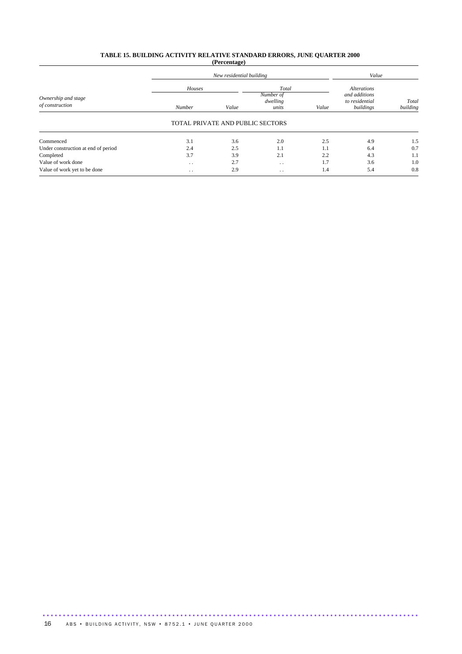#### **TABLE 15. BUILDING ACTIVITY RELATIVE STANDARD ERRORS, JUNE QUARTER 2000 (Percentage)**

|                                        |                  | New residential building         |                                         | Value |                                                                    |                   |
|----------------------------------------|------------------|----------------------------------|-----------------------------------------|-------|--------------------------------------------------------------------|-------------------|
| Ownership and stage<br>of construction | Houses<br>Number | Value                            | Total<br>Number of<br>dwelling<br>units | Value | <b>Alterations</b><br>and additions<br>to residential<br>buildings | Total<br>building |
|                                        |                  | TOTAL PRIVATE AND PUBLIC SECTORS |                                         |       |                                                                    |                   |
| Commenced                              | 3.1              | 3.6                              | 2.0                                     | 2.5   | 4.9                                                                | 1.5               |
| Under construction at end of period    | 2.4              | 2.5                              | 1.1                                     | 1.1   | 6.4                                                                | 0.7               |
| Completed                              | 3.7              | 3.9                              | 2.1                                     | 2.2   | 4.3                                                                | 1.1               |
| Value of work done                     | $\cdot$ .        | 2.7                              | $\cdot$ .                               | 1.7   | 3.6                                                                | 1.0               |
| Value of work yet to be done           | $\cdot$ .        | 2.9                              | $\cdot$ .                               | 1.4   | 5.4                                                                | 0.8               |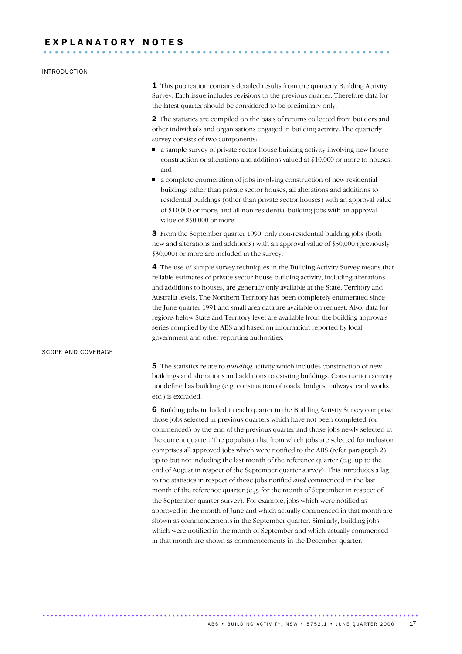# E X P L A N A T O R Y N O T E S ...........................................................

#### INTRODUCTION

**1** This publication contains detailed results from the quarterly Building Activity Survey. Each issue includes revisions to the previous quarter. Therefore data for the latest quarter should be considered to be preliminary only.

2 The statistics are compiled on the basis of returns collected from builders and other individuals and organisations engaged in building activity. The quarterly survey consists of two components:

- a sample survey of private sector house building activity involving new house construction or alterations and additions valued at \$10,000 or more to houses; and
- a complete enumeration of jobs involving construction of new residential buildings other than private sector houses, all alterations and additions to residential buildings (other than private sector houses) with an approval value of \$10,000 or more, and all non-residential building jobs with an approval value of \$50,000 or more.

3 From the September quarter 1990, only non-residential building jobs (both new and alterations and additions) with an approval value of \$50,000 (previously \$30,000) or more are included in the survey.

4 The use of sample survey techniques in the Building Activity Survey means that reliable estimates of private sector house building activity, including alterations and additions to houses, are generally only available at the State, Territory and Australia levels. The Northern Territory has been completely enumerated since the June quarter 1991 and small area data are available on request. Also, data for regions below State and Territory level are available from the building approvals series compiled by the ABS and based on information reported by local government and other reporting authorities.

#### SCOPE AND COVERAGE

5 The statistics relate to *building* activity which includes construction of new buildings and alterations and additions to existing buildings. Construction activity not defined as building (e.g. construction of roads, bridges, railways, earthworks, etc.) is excluded.

6 Building jobs included in each quarter in the Building Activity Survey comprise those jobs selected in previous quarters which have not been completed (or commenced) by the end of the previous quarter and those jobs newly selected in the current quarter. The population list from which jobs are selected for inclusion comprises all approved jobs which were notified to the ABS (refer paragraph 2) up to but not including the last month of the reference quarter (e.g. up to the end of August in respect of the September quarter survey). This introduces a lag to the statistics in respect of those jobs notified *and* commenced in the last month of the reference quarter (e.g. for the month of September in respect of the September quarter survey). For example, jobs which were notified as approved in the month of June and which actually commenced in that month are shown as commencements in the September quarter. Similarly, building jobs which were notified in the month of September and which actually commenced in that month are shown as commencements in the December quarter.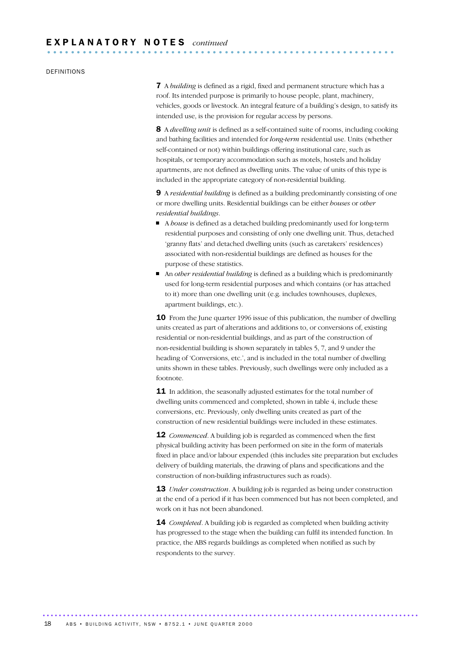#### DEFINITIONS

7 A *building* is defined as a rigid, fixed and permanent structure which has a roof. Its intended purpose is primarily to house people, plant, machinery, vehicles, goods or livestock. An integral feature of a building's design, to satisfy its intended use, is the provision for regular access by persons.

8 A *dwelling unit* is defined as a self-contained suite of rooms, including cooking and bathing facilities and intended for *long-term* residential use. Units (whether self-contained or not) within buildings offering institutional care, such as hospitals, or temporary accommodation such as motels, hostels and holiday apartments, are not defined as dwelling units. The value of units of this type is included in the appropriate category of non-residential building.

9 A *residential building* is defined as a building predominantly consisting of one or more dwelling units. Residential buildings can be either *houses* or *other residential buildings*.

- A *house* is defined as a detached building predominantly used for long-term residential purposes and consisting of only one dwelling unit. Thus, detached 'granny flats' and detached dwelling units (such as caretakers' residences) associated with non-residential buildings are defined as houses for the purpose of these statistics.
- An *other residential building* is defined as a building which is predominantly used for long-term residential purposes and which contains (or has attached to it) more than one dwelling unit (e.g. includes townhouses, duplexes, apartment buildings, etc.).

10 From the June quarter 1996 issue of this publication, the number of dwelling units created as part of alterations and additions to, or conversions of, existing residential or non-residential buildings, and as part of the construction of non-residential building is shown separately in tables 5, 7, and 9 under the heading of 'Conversions, etc.', and is included in the total number of dwelling units shown in these tables. Previously, such dwellings were only included as a footnote.

**11** In addition, the seasonally adjusted estimates for the total number of dwelling units commenced and completed, shown in table 4, include these conversions, etc. Previously, only dwelling units created as part of the construction of new residential buildings were included in these estimates.

**12** *Commenced*. A building job is regarded as commenced when the first physical building activity has been performed on site in the form of materials fixed in place and/or labour expended (this includes site preparation but excludes delivery of building materials, the drawing of plans and specifications and the construction of non-building infrastructures such as roads).

13 *Under construction*. A building job is regarded as being under construction at the end of a period if it has been commenced but has not been completed, and work on it has not been abandoned.

14 *Completed*. A building job is regarded as completed when building activity has progressed to the stage when the building can fulfil its intended function. In practice, the ABS regards buildings as completed when notified as such by respondents to the survey.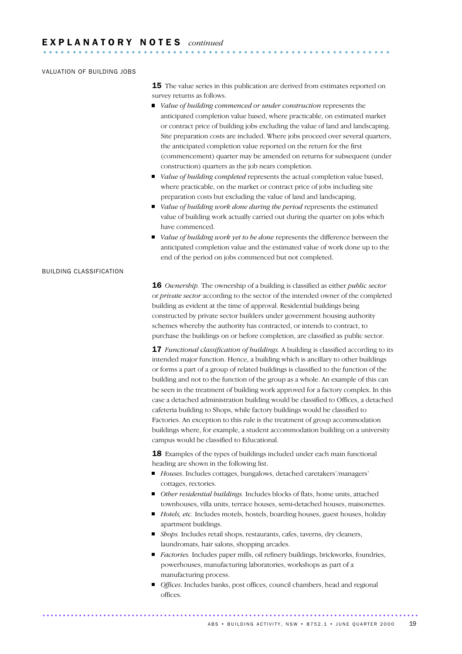### VALUATION OF BUILDING JOBS

**15** The value series in this publication are derived from estimates reported on survey returns as follows.

- *Value of building commenced or under construction* represents the anticipated completion value based, where practicable, on estimated market or contract price of building jobs excluding the value of land and landscaping. Site preparation costs are included. Where jobs proceed over several quarters, the anticipated completion value reported on the return for the first (commencement) quarter may be amended on returns for subsequent (under construction) quarters as the job nears completion.
- *Value of building completed* represents the actual completion value based, where practicable, on the market or contract price of jobs including site preparation costs but excluding the value of land and landscaping.
- *Value of building work done during the period* represents the estimated value of building work actually carried out during the quarter on jobs which have commenced.
- *Value of building work yet to be done* represents the difference between the anticipated completion value and the estimated value of work done up to the end of the period on jobs commenced but not completed.

# BUILDING CLASSIFICATION

16 *Ownership.* The ownership of a building is classified as either *public sector* or *private sector* according to the sector of the intended owner of the completed building as evident at the time of approval. Residential buildings being constructed by private sector builders under government housing authority schemes whereby the authority has contracted, or intends to contract, to purchase the buildings on or before completion, are classified as public sector.

17 *Functional classification of buildings.* A building is classified according to its intended major function. Hence, a building which is ancillary to other buildings or forms a part of a group of related buildings is classified to the function of the building and not to the function of the group as a whole. An example of this can be seen in the treatment of building work approved for a factory complex. In this case a detached administration building would be classified to Offices, a detached cafeteria building to Shops, while factory buildings would be classified to Factories. An exception to this rule is the treatment of group accommodation buildings where, for example, a student accommodation building on a university campus would be classified to Educational.

18 Examples of the types of buildings included under each main functional heading are shown in the following list.

- *Houses*. Includes cottages, bungalows, detached caretakers'/managers' cottages, rectories.
- *Other residential buildings.* Includes blocks of flats, home units, attached townhouses, villa units, terrace houses, semi-detached houses, maisonettes.
- *Hotels, etc.* Includes motels, hostels, boarding houses, guest houses, holiday apartment buildings.
- *Shops*. Includes retail shops, restaurants, cafes, taverns, dry cleaners, laundromats, hair salons, shopping arcades.
- *Factories*. Includes paper mills, oil refinery buildings, brickworks, foundries, powerhouses, manufacturing laboratories, workshops as part of a manufacturing process.
- *Offices*. Includes banks, post offices, council chambers, head and regional offices.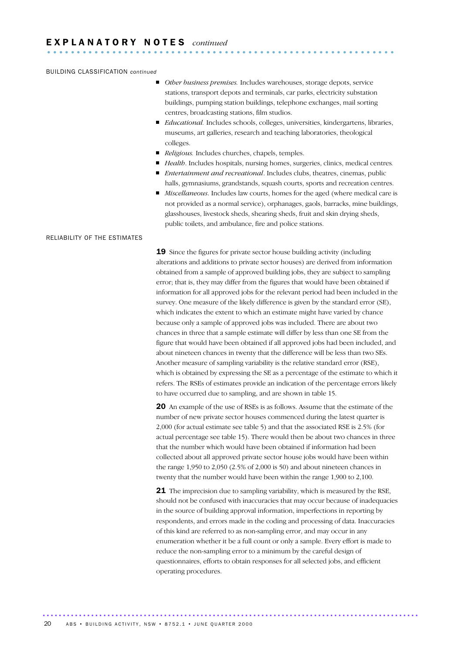#### BUILDING CLASSIFICATION *continued*

- *Other business premises*. Includes warehouses, storage depots, service stations, transport depots and terminals, car parks, electricity substation buildings, pumping station buildings, telephone exchanges, mail sorting centres, broadcasting stations, film studios.
- *Educational.* Includes schools, colleges, universities, kindergartens, libraries, museums, art galleries, research and teaching laboratories, theological colleges.
- *Religious*. Includes churches, chapels, temples.
- *Health*. Includes hospitals, nursing homes, surgeries, clinics, medical centres*.*
- *Entertainment and recreational*. Includes clubs, theatres, cinemas, public halls, gymnasiums, grandstands, squash courts, sports and recreation centres.
- *Miscellaneous*. Includes law courts, homes for the aged (where medical care is not provided as a normal service), orphanages, gaols, barracks, mine buildings, glasshouses, livestock sheds, shearing sheds, fruit and skin drying sheds, public toilets, and ambulance, fire and police stations.

#### RELIABILITY OF THE ESTIMATES

19 Since the figures for private sector house building activity (including alterations and additions to private sector houses) are derived from information obtained from a sample of approved building jobs, they are subject to sampling error; that is, they may differ from the figures that would have been obtained if information for all approved jobs for the relevant period had been included in the survey. One measure of the likely difference is given by the standard error (SE), which indicates the extent to which an estimate might have varied by chance because only a sample of approved jobs was included. There are about two chances in three that a sample estimate will differ by less than one SE from the figure that would have been obtained if all approved jobs had been included, and about nineteen chances in twenty that the difference will be less than two SEs. Another measure of sampling variability is the relative standard error (RSE), which is obtained by expressing the SE as a percentage of the estimate to which it refers. The RSEs of estimates provide an indication of the percentage errors likely to have occurred due to sampling, and are shown in table 15.

20 An example of the use of RSEs is as follows. Assume that the estimate of the number of new private sector houses commenced during the latest quarter is 2,000 (for actual estimate see table 5) and that the associated RSE is 2.5% (for actual percentage see table 15). There would then be about two chances in three that the number which would have been obtained if information had been collected about all approved private sector house jobs would have been within the range 1,950 to 2,050 (2.5% of 2,000 is 50) and about nineteen chances in twenty that the number would have been within the range 1,900 to 2,100.

**21** The imprecision due to sampling variability, which is measured by the RSE, should not be confused with inaccuracies that may occur because of inadequacies in the source of building approval information, imperfections in reporting by respondents, and errors made in the coding and processing of data. Inaccuracies of this kind are referred to as non-sampling error, and may occur in any enumeration whether it be a full count or only a sample. Every effort is made to reduce the non-sampling error to a minimum by the careful design of questionnaires, efforts to obtain responses for all selected jobs, and efficient operating procedures.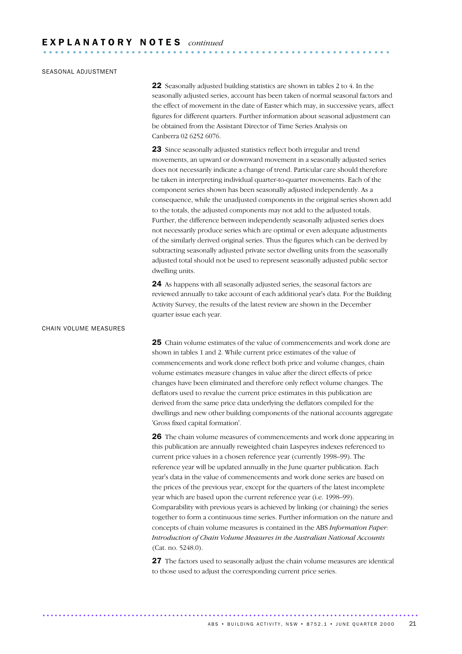### SEASONAL ADJUSTMENT

22 Seasonally adjusted building statistics are shown in tables 2 to 4. In the seasonally adjusted series, account has been taken of normal seasonal factors and the effect of movement in the date of Easter which may, in successive years, affect figures for different quarters. Further information about seasonal adjustment can be obtained from the Assistant Director of Time Series Analysis on Canberra 02 6252 6076.

23 Since seasonally adjusted statistics reflect both irregular and trend movements, an upward or downward movement in a seasonally adjusted series does not necessarily indicate a change of trend. Particular care should therefore be taken in interpreting individual quarter-to-quarter movements. Each of the component series shown has been seasonally adjusted independently. As a consequence, while the unadjusted components in the original series shown add to the totals, the adjusted components may not add to the adjusted totals. Further, the difference between independently seasonally adjusted series does not necessarily produce series which are optimal or even adequate adjustments of the similarly derived original series. Thus the figures which can be derived by subtracting seasonally adjusted private sector dwelling units from the seasonally adjusted total should not be used to represent seasonally adjusted public sector dwelling units.

24 As happens with all seasonally adjusted series, the seasonal factors are reviewed annually to take account of each additional year's data. For the Building Activity Survey, the results of the latest review are shown in the December quarter issue each year.

## CHAIN VOLUME MEASURES

25 Chain volume estimates of the value of commencements and work done are shown in tables 1 and 2. While current price estimates of the value of commencements and work done reflect both price and volume changes, chain volume estimates measure changes in value after the direct effects of price changes have been eliminated and therefore only reflect volume changes. The deflators used to revalue the current price estimates in this publication are derived from the same price data underlying the deflators compiled for the dwellings and new other building components of the national accounts aggregate 'Gross fixed capital formation'.

26 The chain volume measures of commencements and work done appearing in this publication are annually reweighted chain Laspeyres indexes referenced to current price values in a chosen reference year (currently 1998–99). The reference year will be updated annually in the June quarter publication. Each year's data in the value of commencements and work done series are based on the prices of the previous year, except for the quarters of the latest incomplete year which are based upon the current reference year (i.e. 1998–99). Comparability with previous years is achieved by linking (or chaining) the series together to form a continuous time series. Further information on the nature and concepts of chain volume measures is contained in the ABS *Information Paper: Introduction of Chain Volume Measures in the Australian National Accounts* (Cat. no. 5248.0).

27 The factors used to seasonally adjust the chain volume measures are identical to those used to adjust the corresponding current price series.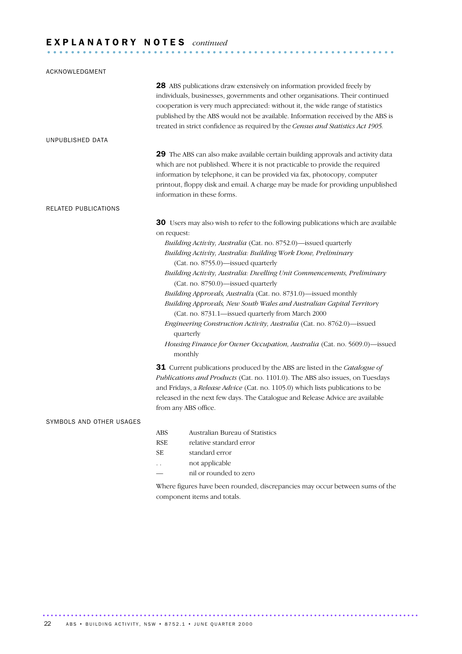# E X P L A N A T O R Y N O T E S *continued* ...........................................................

| ACKNOWLEDGMENT           |                                                                                                                                                                                                                                                                                                                                                                                                                                                                                                                                                                                                                                                                                                                                                                                                                                                                                                                                                                                                                                                                                                                                  |
|--------------------------|----------------------------------------------------------------------------------------------------------------------------------------------------------------------------------------------------------------------------------------------------------------------------------------------------------------------------------------------------------------------------------------------------------------------------------------------------------------------------------------------------------------------------------------------------------------------------------------------------------------------------------------------------------------------------------------------------------------------------------------------------------------------------------------------------------------------------------------------------------------------------------------------------------------------------------------------------------------------------------------------------------------------------------------------------------------------------------------------------------------------------------|
|                          | 28 ABS publications draw extensively on information provided freely by<br>individuals, businesses, governments and other organisations. Their continued<br>cooperation is very much appreciated: without it, the wide range of statistics<br>published by the ABS would not be available. Information received by the ABS is<br>treated in strict confidence as required by the Census and Statistics Act 1905.                                                                                                                                                                                                                                                                                                                                                                                                                                                                                                                                                                                                                                                                                                                  |
| UNPUBLISHED DATA         |                                                                                                                                                                                                                                                                                                                                                                                                                                                                                                                                                                                                                                                                                                                                                                                                                                                                                                                                                                                                                                                                                                                                  |
|                          | 29 The ABS can also make available certain building approvals and activity data<br>which are not published. Where it is not practicable to provide the required<br>information by telephone, it can be provided via fax, photocopy, computer<br>printout, floppy disk and email. A charge may be made for providing unpublished<br>information in these forms.                                                                                                                                                                                                                                                                                                                                                                                                                                                                                                                                                                                                                                                                                                                                                                   |
| RELATED PUBLICATIONS     |                                                                                                                                                                                                                                                                                                                                                                                                                                                                                                                                                                                                                                                                                                                                                                                                                                                                                                                                                                                                                                                                                                                                  |
|                          | 30 Users may also wish to refer to the following publications which are available<br>on request:<br>Building Activity, Australia (Cat. no. 8752.0)-issued quarterly<br>Building Activity, Australia: Building Work Done, Preliminary<br>(Cat. no. 8755.0)-issued quarterly<br>Building Activity, Australia: Dwelling Unit Commencements, Preliminary<br>(Cat. no. 8750.0)-issued quarterly<br>Building Approvals, Australia (Cat. no. 8731.0)-issued monthly<br>Building Approvals, New South Wales and Australian Capital Territory<br>(Cat. no. 8731.1-issued quarterly from March 2000<br>Engineering Construction Activity, Australia (Cat. no. 8762.0)-issued<br>quarterly<br>Housing Finance for Owner Occupation, Australia (Cat. no. 5609.0)-issued<br>monthly<br>31 Current publications produced by the ABS are listed in the Catalogue of<br>Publications and Products (Cat. no. 1101.0). The ABS also issues, on Tuesdays<br>and Fridays, a Release Advice (Cat. no. 1105.0) which lists publications to be<br>released in the next few days. The Catalogue and Release Advice are available<br>from any ABS office. |
| SYMBOLS AND OTHER USAGES |                                                                                                                                                                                                                                                                                                                                                                                                                                                                                                                                                                                                                                                                                                                                                                                                                                                                                                                                                                                                                                                                                                                                  |
|                          | Australian Bureau of Statistics<br><b>ABS</b><br><b>RSE</b><br>relative standard error<br><b>SE</b><br>standard error<br>not applicable<br>. .<br>nil or rounded to zero<br>Where figures have been rounded, discrepancies may occur between sums of the<br>component items and totals.                                                                                                                                                                                                                                                                                                                                                                                                                                                                                                                                                                                                                                                                                                                                                                                                                                          |